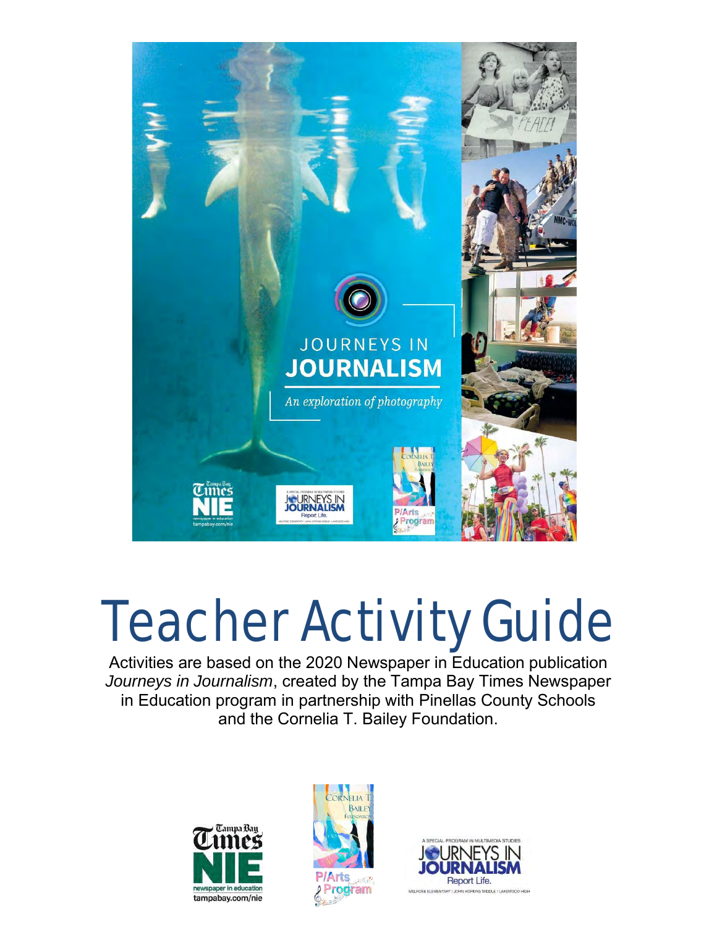

# Teacher Activity Guide

Activities are based on the 2020 Newspaper in Education publication *Journeys in Journalism*, created by the Tampa Bay Times Newspaper in Education program in partnership with Pinellas County Schools and the Cornelia T. Bailey Foundation.





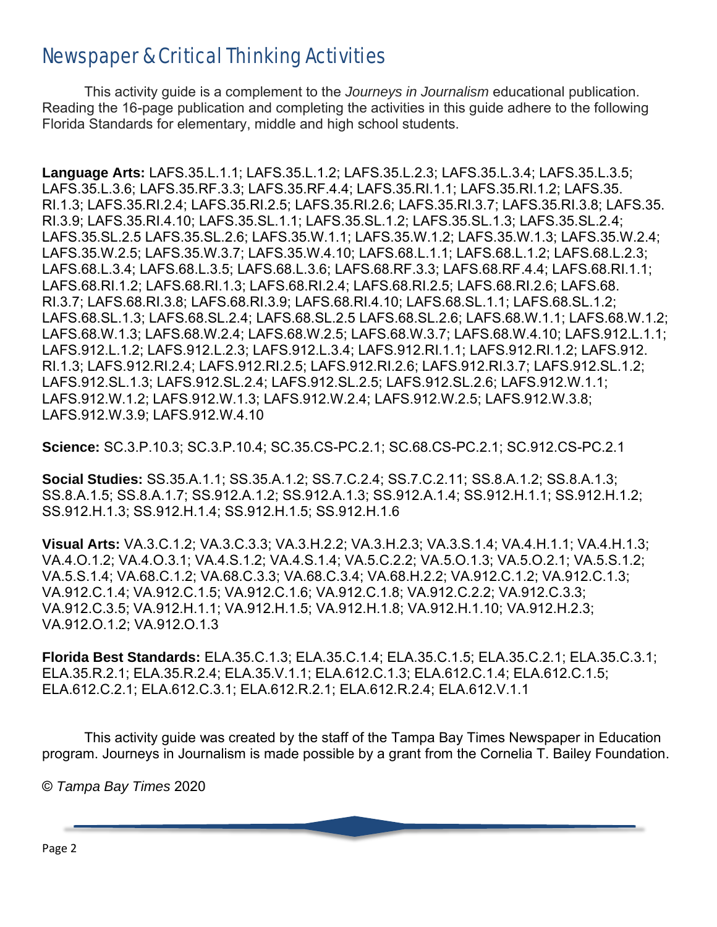### Newspaper & Critical Thinking Activities

This activity guide is a complement to the *Journeys in Journalism* educational publication. Reading the 16-page publication and completing the activities in this guide adhere to the following Florida Standards for elementary, middle and high school students.

**Language Arts:** LAFS.35.L.1.1; LAFS.35.L.1.2; LAFS.35.L.2.3; LAFS.35.L.3.4; LAFS.35.L.3.5; LAFS.35.L.3.6; LAFS.35.RF.3.3; LAFS.35.RF.4.4; LAFS.35.RI.1.1; LAFS.35.RI.1.2; LAFS.35. RI.1.3; LAFS.35.RI.2.4; LAFS.35.RI.2.5; LAFS.35.RI.2.6; LAFS.35.RI.3.7; LAFS.35.RI.3.8; LAFS.35. RI.3.9; LAFS.35.RI.4.10; LAFS.35.SL.1.1; LAFS.35.SL.1.2; LAFS.35.SL.1.3; LAFS.35.SL.2.4; LAFS.35.SL.2.5 LAFS.35.SL.2.6; LAFS.35.W.1.1; LAFS.35.W.1.2; LAFS.35.W.1.3; LAFS.35.W.2.4; LAFS.35.W.2.5; LAFS.35.W.3.7; LAFS.35.W.4.10; LAFS.68.L.1.1; LAFS.68.L.1.2; LAFS.68.L.2.3; LAFS.68.L.3.4; LAFS.68.L.3.5; LAFS.68.L.3.6; LAFS.68.RF.3.3; LAFS.68.RF.4.4; LAFS.68.RI.1.1; LAFS.68.RI.1.2; LAFS.68.RI.1.3; LAFS.68.RI.2.4; LAFS.68.RI.2.5; LAFS.68.RI.2.6; LAFS.68. RI.3.7; LAFS.68.RI.3.8; LAFS.68.RI.3.9; LAFS.68.RI.4.10; LAFS.68.SL.1.1; LAFS.68.SL.1.2; LAFS.68.SL.1.3; LAFS.68.SL.2.4; LAFS.68.SL.2.5 LAFS.68.SL.2.6; LAFS.68.W.1.1; LAFS.68.W.1.2; LAFS.68.W.1.3; LAFS.68.W.2.4; LAFS.68.W.2.5; LAFS.68.W.3.7; LAFS.68.W.4.10; LAFS.912.L.1.1; LAFS.912.L.1.2; LAFS.912.L.2.3; LAFS.912.L.3.4; LAFS.912.RI.1.1; LAFS.912.RI.1.2; LAFS.912. RI.1.3; LAFS.912.RI.2.4; LAFS.912.RI.2.5; LAFS.912.RI.2.6; LAFS.912.RI.3.7; LAFS.912.SL.1.2; LAFS.912.SL.1.3; LAFS.912.SL.2.4; LAFS.912.SL.2.5; LAFS.912.SL.2.6; LAFS.912.W.1.1; LAFS.912.W.1.2; LAFS.912.W.1.3; LAFS.912.W.2.4; LAFS.912.W.2.5; LAFS.912.W.3.8; LAFS.912.W.3.9; LAFS.912.W.4.10

**Science:** SC.3.P.10.3; SC.3.P.10.4; SC.35.CS-PC.2.1; SC.68.CS-PC.2.1; SC.912.CS-PC.2.1

**Social Studies:** SS.35.A.1.1; SS.35.A.1.2; SS.7.C.2.4; SS.7.C.2.11; SS.8.A.1.2; SS.8.A.1.3; SS.8.A.1.5; SS.8.A.1.7; SS.912.A.1.2; SS.912.A.1.3; SS.912.A.1.4; SS.912.H.1.1; SS.912.H.1.2; SS.912.H.1.3; SS.912.H.1.4; SS.912.H.1.5; SS.912.H.1.6

**Visual Arts:** VA.3.C.1.2; VA.3.C.3.3; VA.3.H.2.2; VA.3.H.2.3; VA.3.S.1.4; VA.4.H.1.1; VA.4.H.1.3; VA.4.O.1.2; VA.4.O.3.1; VA.4.S.1.2; VA.4.S.1.4; VA.5.C.2.2; VA.5.O.1.3; VA.5.O.2.1; VA.5.S.1.2; VA.5.S.1.4; VA.68.C.1.2; VA.68.C.3.3; VA.68.C.3.4; VA.68.H.2.2; VA.912.C.1.2; VA.912.C.1.3; VA.912.C.1.4; VA.912.C.1.5; VA.912.C.1.6; VA.912.C.1.8; VA.912.C.2.2; VA.912.C.3.3; VA.912.C.3.5; VA.912.H.1.1; VA.912.H.1.5; VA.912.H.1.8; VA.912.H.1.10; VA.912.H.2.3; VA.912.O.1.2; VA.912.O.1.3

**Florida Best Standards:** ELA.35.C.1.3; ELA.35.C.1.4; ELA.35.C.1.5; ELA.35.C.2.1; ELA.35.C.3.1; ELA.35.R.2.1; ELA.35.R.2.4; ELA.35.V.1.1; ELA.612.C.1.3; ELA.612.C.1.4; ELA.612.C.1.5; ELA.612.C.2.1; ELA.612.C.3.1; ELA.612.R.2.1; ELA.612.R.2.4; ELA.612.V.1.1

This activity guide was created by the staff of the Tampa Bay Times Newspaper in Education program. Journeys in Journalism is made possible by a grant from the Cornelia T. Bailey Foundation.

© *Tampa Bay Times* 2020

Page 2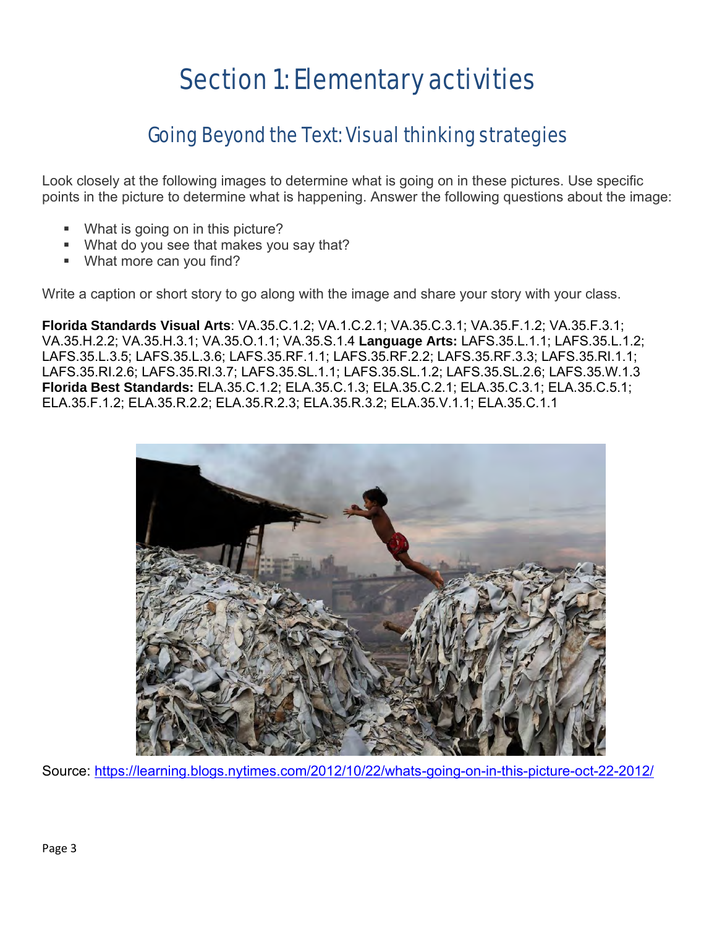## Section 1: Elementary activities

### Going Beyond the Text: Visual thinking strategies

Look closely at the following images to determine what is going on in these pictures. Use specific points in the picture to determine what is happening. Answer the following questions about the image:

- What is going on in this picture?
- What do you see that makes you say that?
- What more can you find?

Write a caption or short story to go along with the image and share your story with your class.

**Florida Standards Visual Arts**: VA.35.C.1.2; VA.1.C.2.1; VA.35.C.3.1; VA.35.F.1.2; VA.35.F.3.1; VA.35.H.2.2; VA.35.H.3.1; VA.35.O.1.1; VA.35.S.1.4 **Language Arts:** LAFS.35.L.1.1; LAFS.35.L.1.2; LAFS.35.L.3.5; LAFS.35.L.3.6; LAFS.35.RF.1.1; LAFS.35.RF.2.2; LAFS.35.RF.3.3; LAFS.35.RI.1.1; LAFS.35.RI.2.6; LAFS.35.RI.3.7; LAFS.35.SL.1.1; LAFS.35.SL.1.2; LAFS.35.SL.2.6; LAFS.35.W.1.3 **Florida Best Standards:** ELA.35.C.1.2; ELA.35.C.1.3; ELA.35.C.2.1; ELA.35.C.3.1; ELA.35.C.5.1; ELA.35.F.1.2; ELA.35.R.2.2; ELA.35.R.2.3; ELA.35.R.3.2; ELA.35.V.1.1; ELA.35.C.1.1



Source:<https://learning.blogs.nytimes.com/2012/10/22/whats-going-on-in-this-picture-oct-22-2012/>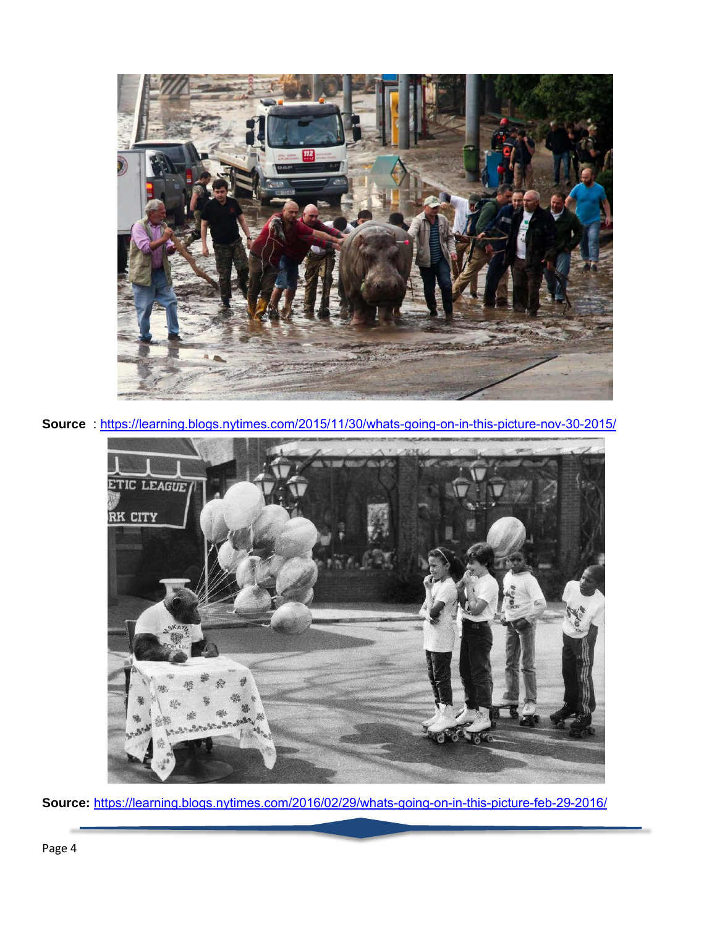

**Source** :<https://learning.blogs.nytimes.com/2015/11/30/whats-going-on-in-this-picture-nov-30-2015/>



**Source:** <https://learning.blogs.nytimes.com/2016/02/29/whats-going-on-in-this-picture-feb-29-2016/>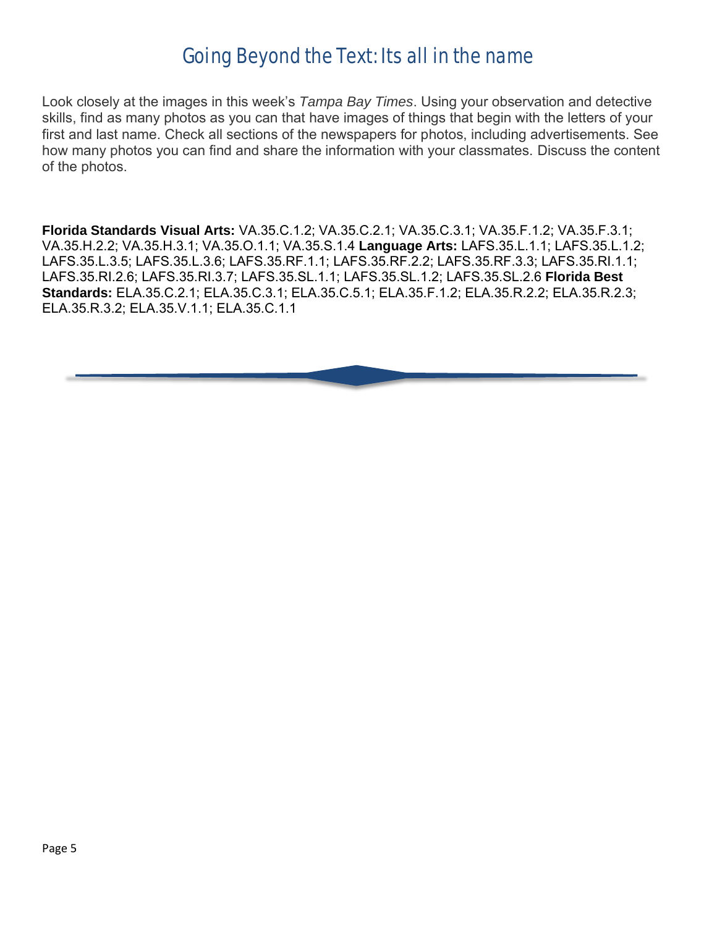### Going Beyond the Text: Its all in the name

Look closely at the images in this week's *Tampa Bay Times*. Using your observation and detective skills, find as many photos as you can that have images of things that begin with the letters of your first and last name. Check all sections of the newspapers for photos, including advertisements. See how many photos you can find and share the information with your classmates. Discuss the content of the photos.

**Florida Standards Visual Arts:** VA.35.C.1.2; VA.35.C.2.1; VA.35.C.3.1; VA.35.F.1.2; VA.35.F.3.1; VA.35.H.2.2; VA.35.H.3.1; VA.35.O.1.1; VA.35.S.1.4 **Language Arts:** LAFS.35.L.1.1; LAFS.35.L.1.2; LAFS.35.L.3.5; LAFS.35.L.3.6; LAFS.35.RF.1.1; LAFS.35.RF.2.2; LAFS.35.RF.3.3; LAFS.35.RI.1.1; LAFS.35.RI.2.6; LAFS.35.RI.3.7; LAFS.35.SL.1.1; LAFS.35.SL.1.2; LAFS.35.SL.2.6 **Florida Best Standards:** ELA.35.C.2.1; ELA.35.C.3.1; ELA.35.C.5.1; ELA.35.F.1.2; ELA.35.R.2.2; ELA.35.R.2.3; ELA.35.R.3.2; ELA.35.V.1.1; ELA.35.C.1.1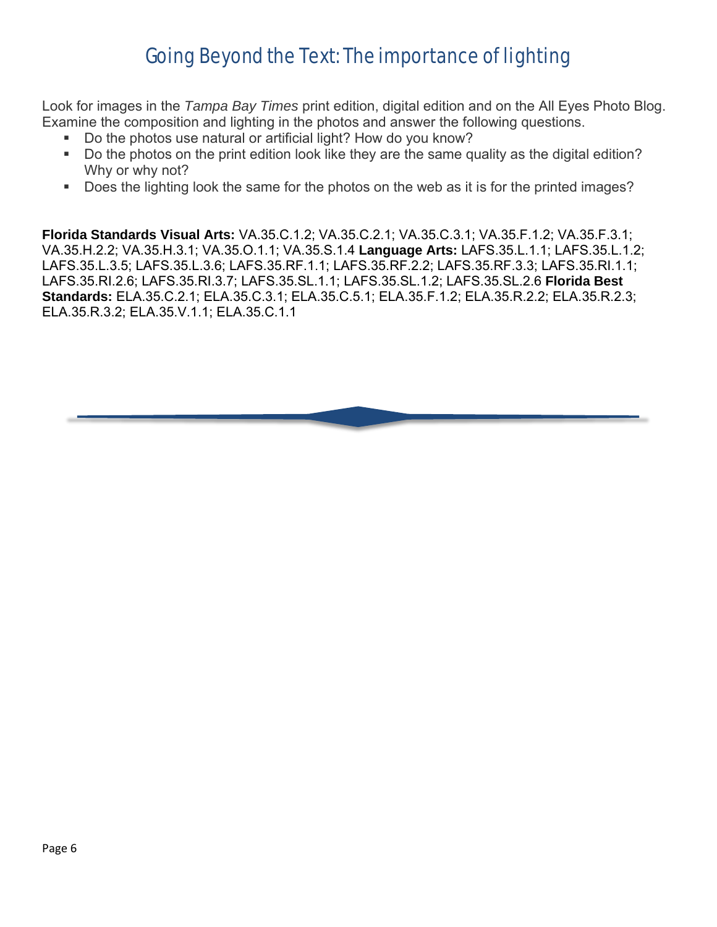### Going Beyond the Text: The importance of lighting

Look for images in the *Tampa Bay Times* print edition, digital edition and on the All Eyes Photo Blog. Examine the composition and lighting in the photos and answer the following questions.

- Do the photos use natural or artificial light? How do you know?
- Do the photos on the print edition look like they are the same quality as the digital edition? Why or why not?
- Does the lighting look the same for the photos on the web as it is for the printed images?

**Florida Standards Visual Arts:** VA.35.C.1.2; VA.35.C.2.1; VA.35.C.3.1; VA.35.F.1.2; VA.35.F.3.1; VA.35.H.2.2; VA.35.H.3.1; VA.35.O.1.1; VA.35.S.1.4 **Language Arts:** LAFS.35.L.1.1; LAFS.35.L.1.2; LAFS.35.L.3.5; LAFS.35.L.3.6; LAFS.35.RF.1.1; LAFS.35.RF.2.2; LAFS.35.RF.3.3; LAFS.35.RI.1.1; LAFS.35.RI.2.6; LAFS.35.RI.3.7; LAFS.35.SL.1.1; LAFS.35.SL.1.2; LAFS.35.SL.2.6 **Florida Best Standards:** ELA.35.C.2.1; ELA.35.C.3.1; ELA.35.C.5.1; ELA.35.F.1.2; ELA.35.R.2.2; ELA.35.R.2.3; ELA.35.R.3.2; ELA.35.V.1.1; ELA.35.C.1.1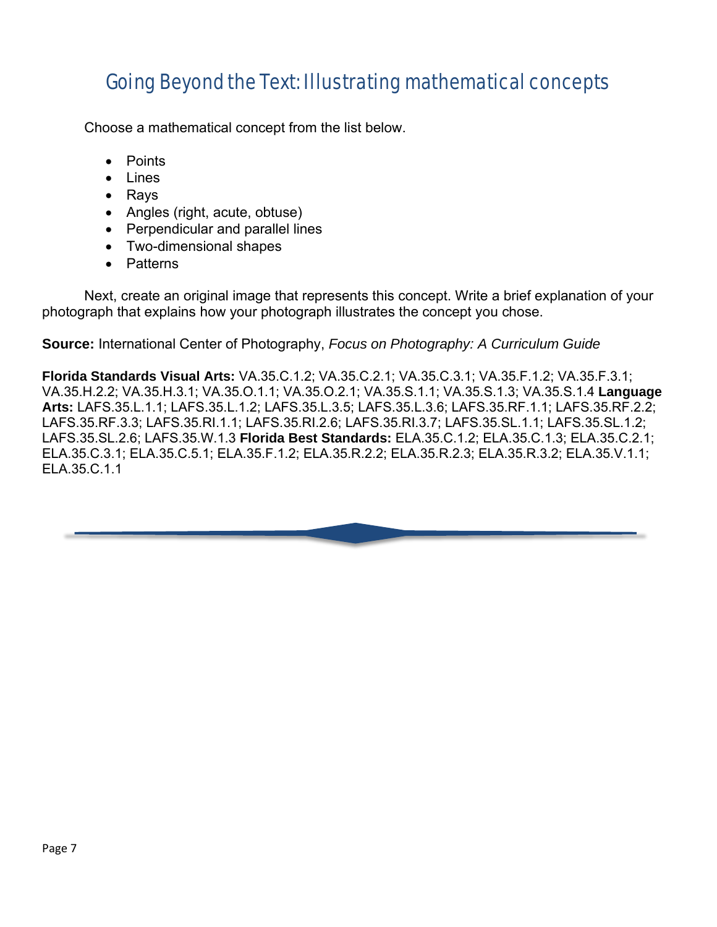### Going Beyond the Text: Illustrating mathematical concepts

Choose a mathematical concept from the list below.

- Points
- Lines
- Rays
- Angles (right, acute, obtuse)
- Perpendicular and parallel lines
- Two-dimensional shapes
- Patterns

Next, create an original image that represents this concept. Write a brief explanation of your photograph that explains how your photograph illustrates the concept you chose.

**Source:** International Center of Photography, *Focus on Photography: A Curriculum Guide*

**Florida Standards Visual Arts:** VA.35.C.1.2; VA.35.C.2.1; VA.35.C.3.1; VA.35.F.1.2; VA.35.F.3.1; VA.35.H.2.2; VA.35.H.3.1; VA.35.O.1.1; VA.35.O.2.1; VA.35.S.1.1; VA.35.S.1.3; VA.35.S.1.4 **Language Arts:** LAFS.35.L.1.1; LAFS.35.L.1.2; LAFS.35.L.3.5; LAFS.35.L.3.6; LAFS.35.RF.1.1; LAFS.35.RF.2.2; LAFS.35.RF.3.3; LAFS.35.RI.1.1; LAFS.35.RI.2.6; LAFS.35.RI.3.7; LAFS.35.SL.1.1; LAFS.35.SL.1.2; LAFS.35.SL.2.6; LAFS.35.W.1.3 **Florida Best Standards:** ELA.35.C.1.2; ELA.35.C.1.3; ELA.35.C.2.1; ELA.35.C.3.1; ELA.35.C.5.1; ELA.35.F.1.2; ELA.35.R.2.2; ELA.35.R.2.3; ELA.35.R.3.2; ELA.35.V.1.1; ELA.35.C.1.1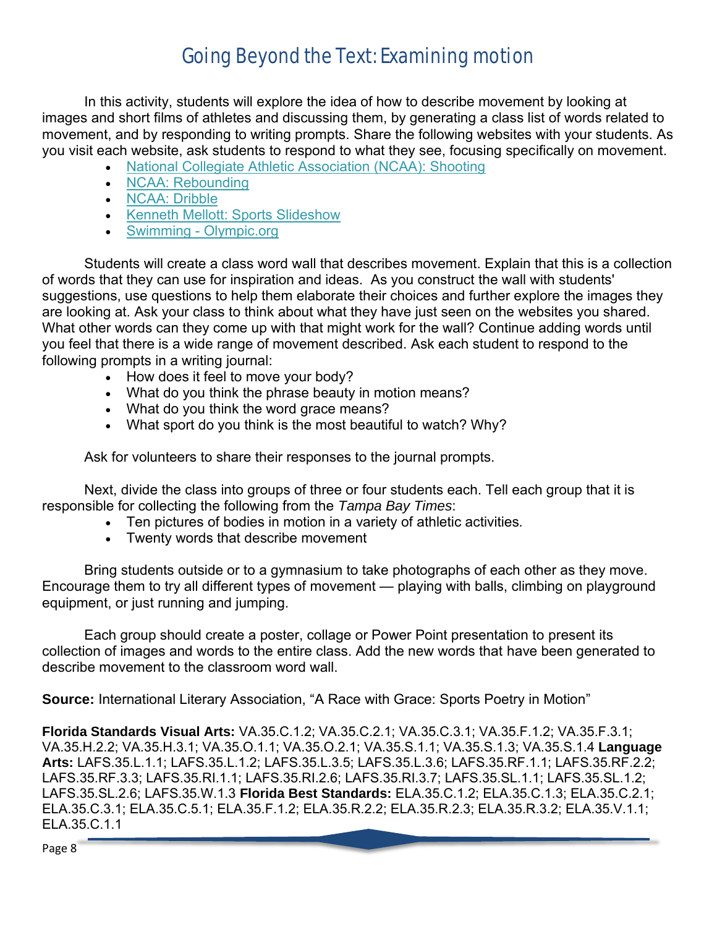### Going Beyond the Text: Examining motion

In this activity, students will explore the idea of how to describe movement by looking at images and short films of athletes and discussing them, by generating a class list of words related to movement, and by responding to writing prompts. Share the following websites with your students. As you visit each website, ask students to respond to what they see, focusing specifically on movement.

- [National Collegiate Athletic Association \(NCAA\): Shooting](http://web1.ncaa.org/web_video/basketball_promotion/kids_club_chalkboard/Shooting.mov)
- [NCAA: Rebounding](http://web1.ncaa.org/web_video/basketball_promotion/kids_club_chalkboard/Rebounding.mov)
- [NCAA: Dribble](http://web1.ncaa.org/web_video/basketball_promotion/kids_club_chalkboard/Dribble.mov)
- [Kenneth Mellott: Sports Slideshow](http://www.kenmellottphotography.com/gallery/2380563_sKnje)
- Swimming [Olympic.org](http://www.olympic.org/en/content/Sports/All-Sports/Aquatics/Swimming/)

Students will create a class word wall that describes movement. Explain that this is a collection of words that they can use for inspiration and ideas. As you construct the wall with students' suggestions, use questions to help them elaborate their choices and further explore the images they are looking at. Ask your class to think about what they have just seen on the websites you shared. What other words can they come up with that might work for the wall? Continue adding words until you feel that there is a wide range of movement described. Ask each student to respond to the following prompts in a writing journal:

- How does it feel to move your body?
- What do you think the phrase beauty in motion means?
- What do you think the word grace means?
- What sport do you think is the most beautiful to watch? Why?

Ask for volunteers to share their responses to the journal prompts.

Next, divide the class into groups of three or four students each. Tell each group that it is responsible for collecting the following from the *Tampa Bay Times*:

- Ten pictures of bodies in motion in a variety of athletic activities*.*
- Twenty words that describe movement

Bring students outside or to a gymnasium to take photographs of each other as they move. Encourage them to try all different types of movement — playing with balls, climbing on playground equipment, or just running and jumping.

Each group should create a poster, collage or Power Point presentation to present its collection of images and words to the entire class. Add the new words that have been generated to describe movement to the classroom word wall.

**Source:** International Literary Association, "A Race with Grace: Sports Poetry in Motion"

**Florida Standards Visual Arts:** VA.35.C.1.2; VA.35.C.2.1; VA.35.C.3.1; VA.35.F.1.2; VA.35.F.3.1; VA.35.H.2.2; VA.35.H.3.1; VA.35.O.1.1; VA.35.O.2.1; VA.35.S.1.1; VA.35.S.1.3; VA.35.S.1.4 **Language Arts:** LAFS.35.L.1.1; LAFS.35.L.1.2; LAFS.35.L.3.5; LAFS.35.L.3.6; LAFS.35.RF.1.1; LAFS.35.RF.2.2; LAFS.35.RF.3.3; LAFS.35.RI.1.1; LAFS.35.RI.2.6; LAFS.35.RI.3.7; LAFS.35.SL.1.1; LAFS.35.SL.1.2; LAFS.35.SL.2.6; LAFS.35.W.1.3 **Florida Best Standards:** ELA.35.C.1.2; ELA.35.C.1.3; ELA.35.C.2.1; ELA.35.C.3.1; ELA.35.C.5.1; ELA.35.F.1.2; ELA.35.R.2.2; ELA.35.R.2.3; ELA.35.R.3.2; ELA.35.V.1.1; ELA.35.C.1.1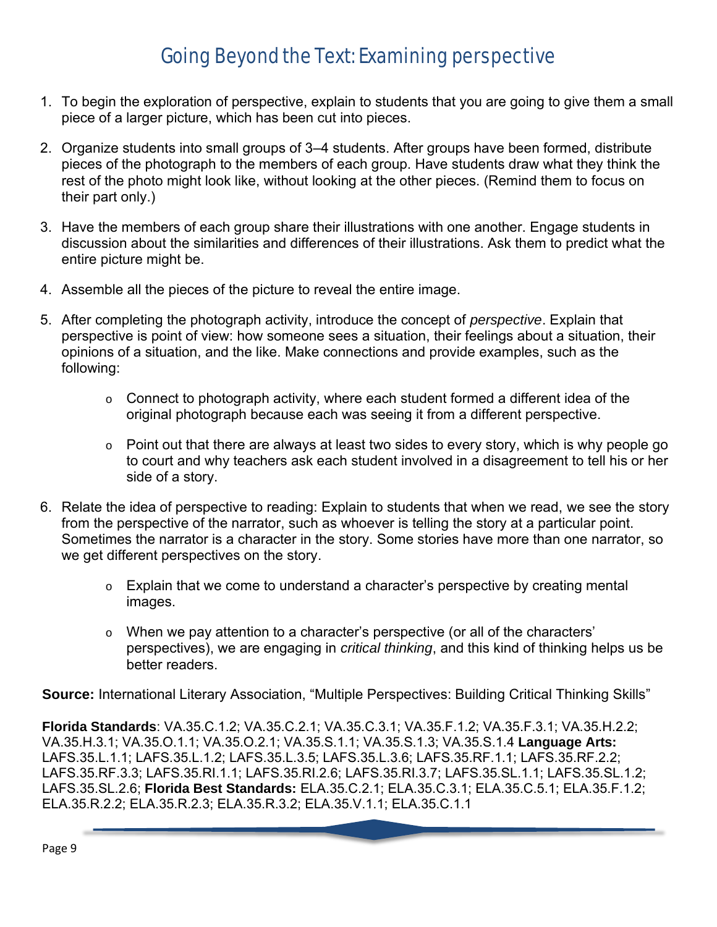- 1. To begin the exploration of perspective, explain to students that you are going to give them a small piece of a larger picture, which has been cut into pieces.
- 2. Organize students into small groups of 3–4 students. After groups have been formed, distribute pieces of the photograph to the members of each group. Have students draw what they think the rest of the photo might look like, without looking at the other pieces. (Remind them to focus on their part only.)
- 3. Have the members of each group share their illustrations with one another. Engage students in discussion about the similarities and differences of their illustrations. Ask them to predict what the entire picture might be.
- 4. Assemble all the pieces of the picture to reveal the entire image.
- 5. After completing the photograph activity, introduce the concept of *perspective*. Explain that perspective is point of view: how someone sees a situation, their feelings about a situation, their opinions of a situation, and the like. Make connections and provide examples, such as the following:
	- $\circ$  Connect to photograph activity, where each student formed a different idea of the original photograph because each was seeing it from a different perspective.
	- $\circ$  Point out that there are always at least two sides to every story, which is why people go to court and why teachers ask each student involved in a disagreement to tell his or her side of a story.
- 6. Relate the idea of perspective to reading: Explain to students that when we read, we see the story from the perspective of the narrator, such as whoever is telling the story at a particular point. Sometimes the narrator is a character in the story. Some stories have more than one narrator, so we get different perspectives on the story.
	- o Explain that we come to understand a character's perspective by creating mental images.
	- o When we pay attention to a character's perspective (or all of the characters' perspectives), we are engaging in *critical thinking*, and this kind of thinking helps us be better readers.

**Source:** International Literary Association, "Multiple Perspectives: Building Critical Thinking Skills"

**Florida Standards**: VA.35.C.1.2; VA.35.C.2.1; VA.35.C.3.1; VA.35.F.1.2; VA.35.F.3.1; VA.35.H.2.2; VA.35.H.3.1; VA.35.O.1.1; VA.35.O.2.1; VA.35.S.1.1; VA.35.S.1.3; VA.35.S.1.4 **Language Arts:**  LAFS.35.L.1.1; LAFS.35.L.1.2; LAFS.35.L.3.5; LAFS.35.L.3.6; LAFS.35.RF.1.1; LAFS.35.RF.2.2; LAFS.35.RF.3.3; LAFS.35.RI.1.1; LAFS.35.RI.2.6; LAFS.35.RI.3.7; LAFS.35.SL.1.1; LAFS.35.SL.1.2; LAFS.35.SL.2.6; **Florida Best Standards:** ELA.35.C.2.1; ELA.35.C.3.1; ELA.35.C.5.1; ELA.35.F.1.2; ELA.35.R.2.2; ELA.35.R.2.3; ELA.35.R.3.2; ELA.35.V.1.1; ELA.35.C.1.1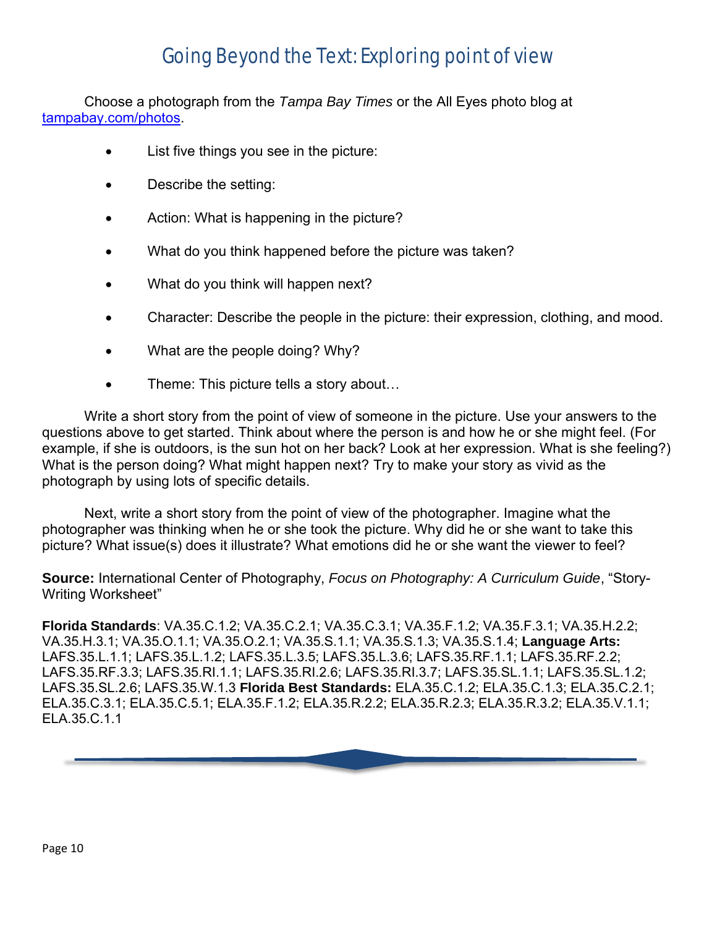### Going Beyond the Text: Exploring point of view

Choose a photograph from the *Tampa Bay Times* or the All Eyes photo blog at [tampabay.com/photos.](https://www.tampabay.com/photos/)

- List five things you see in the picture:
- Describe the setting:
- Action: What is happening in the picture?
- What do you think happened before the picture was taken?
- What do you think will happen next?
- Character: Describe the people in the picture: their expression, clothing, and mood.
- What are the people doing? Why?
- Theme: This picture tells a story about...

Write a short story from the point of view of someone in the picture. Use your answers to the questions above to get started. Think about where the person is and how he or she might feel. (For example, if she is outdoors, is the sun hot on her back? Look at her expression. What is she feeling?) What is the person doing? What might happen next? Try to make your story as vivid as the photograph by using lots of specific details.

Next, write a short story from the point of view of the photographer. Imagine what the photographer was thinking when he or she took the picture. Why did he or she want to take this picture? What issue(s) does it illustrate? What emotions did he or she want the viewer to feel?

**Source:** International Center of Photography, *Focus on Photography: A Curriculum Guide*, "Story-Writing Worksheet"

**Florida Standards**: VA.35.C.1.2; VA.35.C.2.1; VA.35.C.3.1; VA.35.F.1.2; VA.35.F.3.1; VA.35.H.2.2; VA.35.H.3.1; VA.35.O.1.1; VA.35.O.2.1; VA.35.S.1.1; VA.35.S.1.3; VA.35.S.1.4; **Language Arts:**  LAFS.35.L.1.1; LAFS.35.L.1.2; LAFS.35.L.3.5; LAFS.35.L.3.6; LAFS.35.RF.1.1; LAFS.35.RF.2.2; LAFS.35.RF.3.3; LAFS.35.RI.1.1; LAFS.35.RI.2.6; LAFS.35.RI.3.7; LAFS.35.SL.1.1; LAFS.35.SL.1.2; LAFS.35.SL.2.6; LAFS.35.W.1.3 **Florida Best Standards:** ELA.35.C.1.2; ELA.35.C.1.3; ELA.35.C.2.1; ELA.35.C.3.1; ELA.35.C.5.1; ELA.35.F.1.2; ELA.35.R.2.2; ELA.35.R.2.3; ELA.35.R.3.2; ELA.35.V.1.1; ELA.35.C.1.1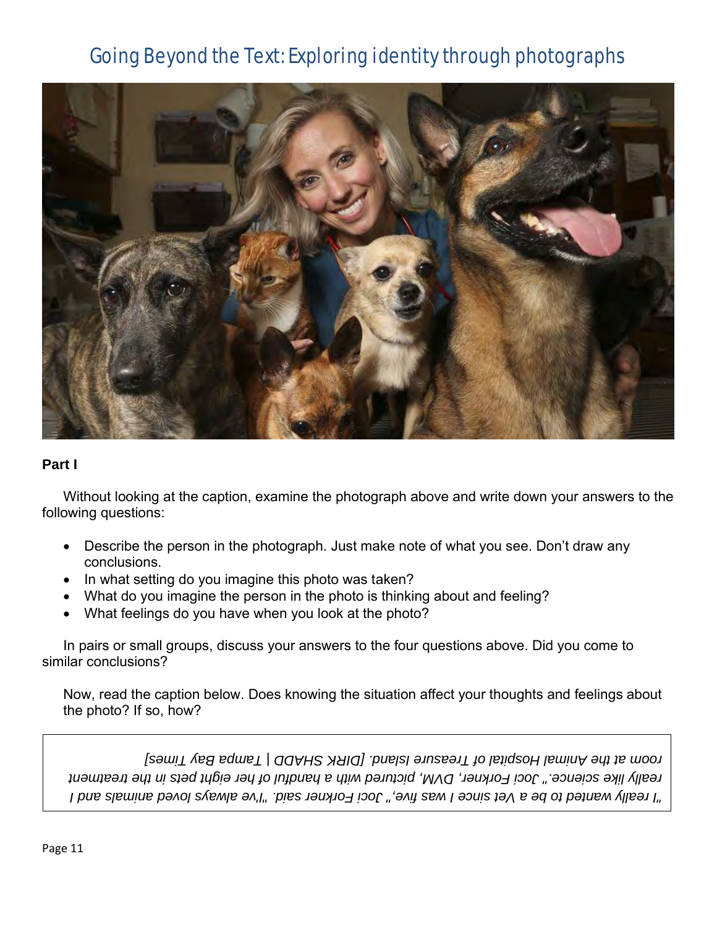### Going Beyond the Text: Exploring identity through photographs



#### **Part I**

Without looking at the caption, examine the photograph above and write down your answers to the following questions:

- Describe the person in the photograph. Just make note of what you see. Don't draw any conclusions.
- In what setting do you imagine this photo was taken?
- What do you imagine the person in the photo is thinking about and feeling?
- What feelings do you have when you look at the photo?

In pairs or small groups, discuss your answers to the four questions above. Did you come to similar conclusions?

Now, read the caption below. Does knowing the situation affect your thoughts and feelings about the photo? If so, how?

*"I really wanted to be a Vet since I was five," Joci Forkner said. "I've always loved animals and I*  really like science." Joci Forkner, DVM, pictured with a handful of her eight pets in the treatment *room at the Animal Hospital of Treasure Island. [DIRK SHADD | Tampa Bay Times]*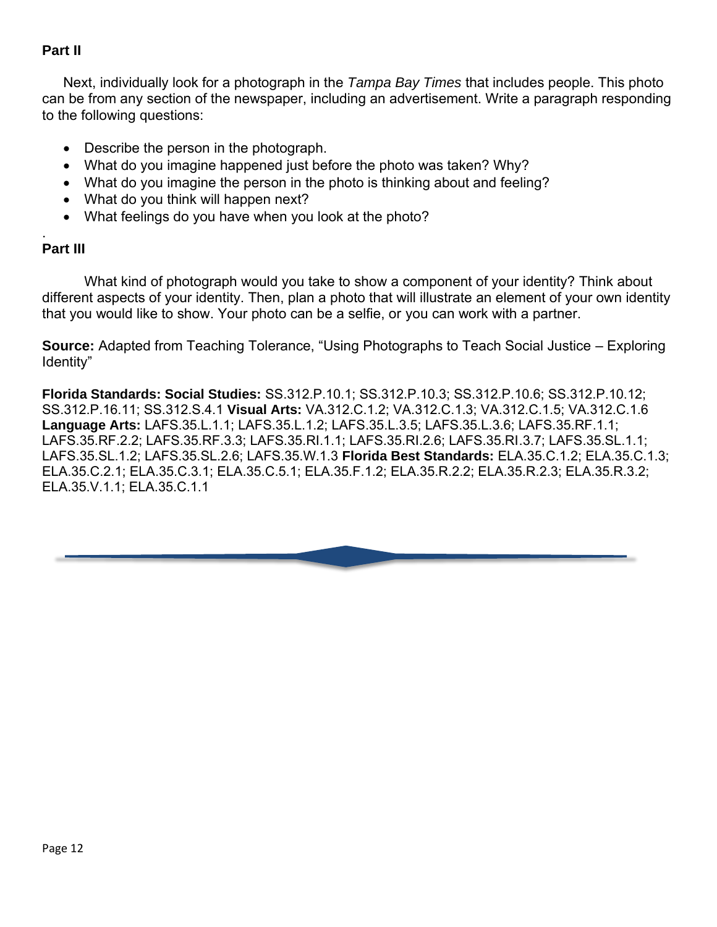### **Part II**

Next, individually look for a photograph in the *Tampa Bay Times* that includes people. This photo can be from any section of the newspaper, including an advertisement. Write a paragraph responding to the following questions:

- Describe the person in the photograph.
- What do you imagine happened just before the photo was taken? Why?
- What do you imagine the person in the photo is thinking about and feeling?
- What do you think will happen next?
- What feelings do you have when you look at the photo?

#### . **Part III**

What kind of photograph would you take to show a component of your identity? Think about different aspects of your identity. Then, plan a photo that will illustrate an element of your own identity that you would like to show. Your photo can be a selfie, or you can work with a partner.

**Source:** Adapted from Teaching Tolerance, "Using Photographs to Teach Social Justice – Exploring Identity"

**Florida Standards: Social Studies:** SS.312.P.10.1; SS.312.P.10.3; SS.312.P.10.6; SS.312.P.10.12; SS.312.P.16.11; SS.312.S.4.1 **Visual Arts:** VA.312.C.1.2; VA.312.C.1.3; VA.312.C.1.5; VA.312.C.1.6 **Language Arts:** LAFS.35.L.1.1; LAFS.35.L.1.2; LAFS.35.L.3.5; LAFS.35.L.3.6; LAFS.35.RF.1.1; LAFS.35.RF.2.2; LAFS.35.RF.3.3; LAFS.35.RI.1.1; LAFS.35.RI.2.6; LAFS.35.RI.3.7; LAFS.35.SL.1.1; LAFS.35.SL.1.2; LAFS.35.SL.2.6; LAFS.35.W.1.3 **Florida Best Standards:** ELA.35.C.1.2; ELA.35.C.1.3; ELA.35.C.2.1; ELA.35.C.3.1; ELA.35.C.5.1; ELA.35.F.1.2; ELA.35.R.2.2; ELA.35.R.2.3; ELA.35.R.3.2; ELA.35.V.1.1; ELA.35.C.1.1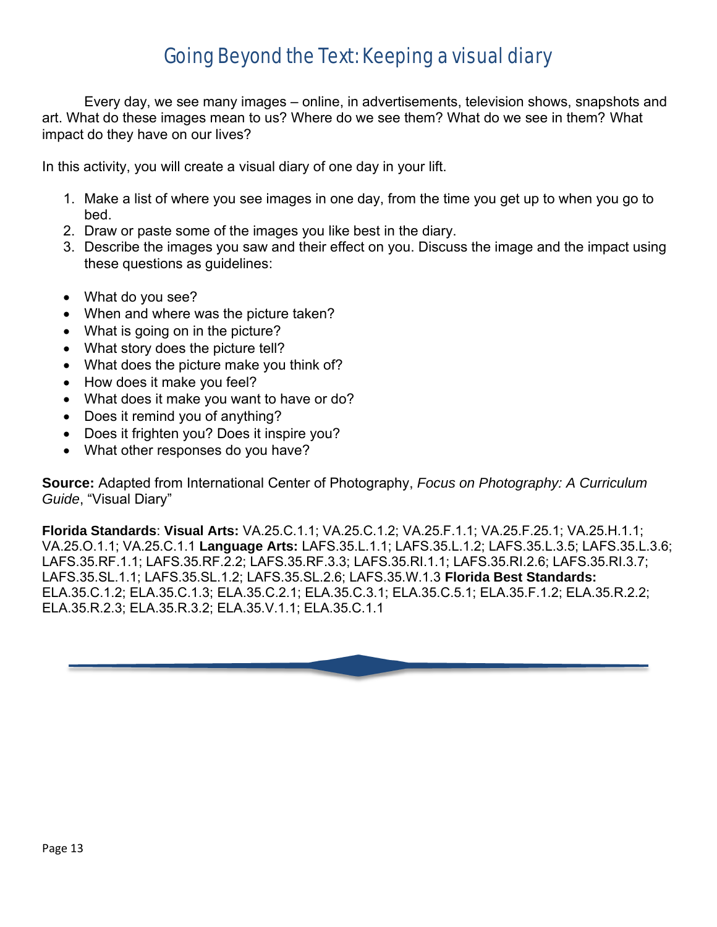### Going Beyond the Text: Keeping a visual diary

Every day, we see many images – online, in advertisements, television shows, snapshots and art. What do these images mean to us? Where do we see them? What do we see in them? What impact do they have on our lives?

In this activity, you will create a visual diary of one day in your lift.

- 1. Make a list of where you see images in one day, from the time you get up to when you go to bed.
- 2. Draw or paste some of the images you like best in the diary.
- 3. Describe the images you saw and their effect on you. Discuss the image and the impact using these questions as guidelines:
- What do you see?
- When and where was the picture taken?
- What is going on in the picture?
- What story does the picture tell?
- What does the picture make you think of?
- How does it make you feel?
- What does it make you want to have or do?
- Does it remind you of anything?
- Does it frighten you? Does it inspire you?
- What other responses do you have?

**Source:** Adapted from International Center of Photography, *Focus on Photography: A Curriculum Guide*, "Visual Diary"

**Florida Standards**: **Visual Arts:** VA.25.C.1.1; VA.25.C.1.2; VA.25.F.1.1; VA.25.F.25.1; VA.25.H.1.1; VA.25.O.1.1; VA.25.C.1.1 **Language Arts:** LAFS.35.L.1.1; LAFS.35.L.1.2; LAFS.35.L.3.5; LAFS.35.L.3.6; LAFS.35.RF.1.1; LAFS.35.RF.2.2; LAFS.35.RF.3.3; LAFS.35.RI.1.1; LAFS.35.RI.2.6; LAFS.35.RI.3.7; LAFS.35.SL.1.1; LAFS.35.SL.1.2; LAFS.35.SL.2.6; LAFS.35.W.1.3 **Florida Best Standards:** ELA.35.C.1.2; ELA.35.C.1.3; ELA.35.C.2.1; ELA.35.C.3.1; ELA.35.C.5.1; ELA.35.F.1.2; ELA.35.R.2.2; ELA.35.R.2.3; ELA.35.R.3.2; ELA.35.V.1.1; ELA.35.C.1.1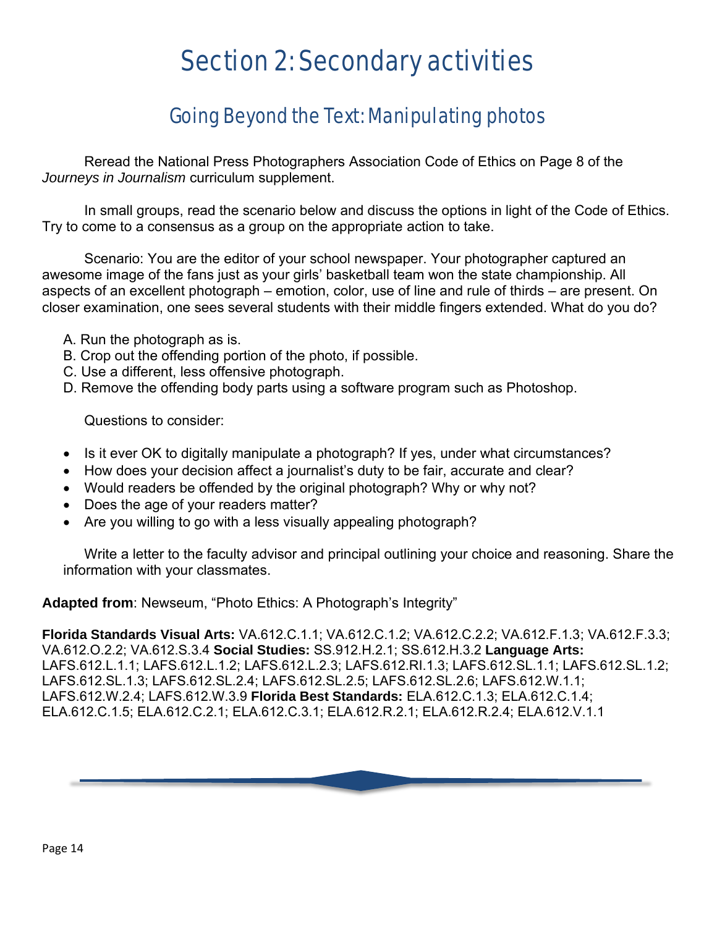## Section 2: Secondary activities

### Going Beyond the Text: Manipulating photos

Reread the National Press Photographers Association Code of Ethics on Page 8 of the *Journeys in Journalism* curriculum supplement.

In small groups, read the scenario below and discuss the options in light of the Code of Ethics. Try to come to a consensus as a group on the appropriate action to take.

Scenario: You are the editor of your school newspaper. Your photographer captured an awesome image of the fans just as your girls' basketball team won the state championship. All aspects of an excellent photograph – emotion, color, use of line and rule of thirds – are present. On closer examination, one sees several students with their middle fingers extended. What do you do?

- A. Run the photograph as is.
- B. Crop out the offending portion of the photo, if possible.
- C. Use a different, less offensive photograph.
- D. Remove the offending body parts using a software program such as Photoshop.

Questions to consider:

- Is it ever OK to digitally manipulate a photograph? If yes, under what circumstances?
- How does your decision affect a journalist's duty to be fair, accurate and clear?
- Would readers be offended by the original photograph? Why or why not?
- Does the age of your readers matter?
- Are you willing to go with a less visually appealing photograph?

Write a letter to the faculty advisor and principal outlining your choice and reasoning. Share the information with your classmates.

**Adapted from**: Newseum, "Photo Ethics: A Photograph's Integrity"

**Florida Standards Visual Arts:** VA.612.C.1.1; VA.612.C.1.2; VA.612.C.2.2; VA.612.F.1.3; VA.612.F.3.3; VA.612.O.2.2; VA.612.S.3.4 **Social Studies:** SS.912.H.2.1; SS.612.H.3.2 **Language Arts:**  LAFS.612.L.1.1; LAFS.612.L.1.2; LAFS.612.L.2.3; LAFS.612.RI.1.3; LAFS.612.SL.1.1; LAFS.612.SL.1.2; LAFS.612.SL.1.3; LAFS.612.SL.2.4; LAFS.612.SL.2.5; LAFS.612.SL.2.6; LAFS.612.W.1.1; LAFS.612.W.2.4; LAFS.612.W.3.9 **Florida Best Standards:** ELA.612.C.1.3; ELA.612.C.1.4; ELA.612.C.1.5; ELA.612.C.2.1; ELA.612.C.3.1; ELA.612.R.2.1; ELA.612.R.2.4; ELA.612.V.1.1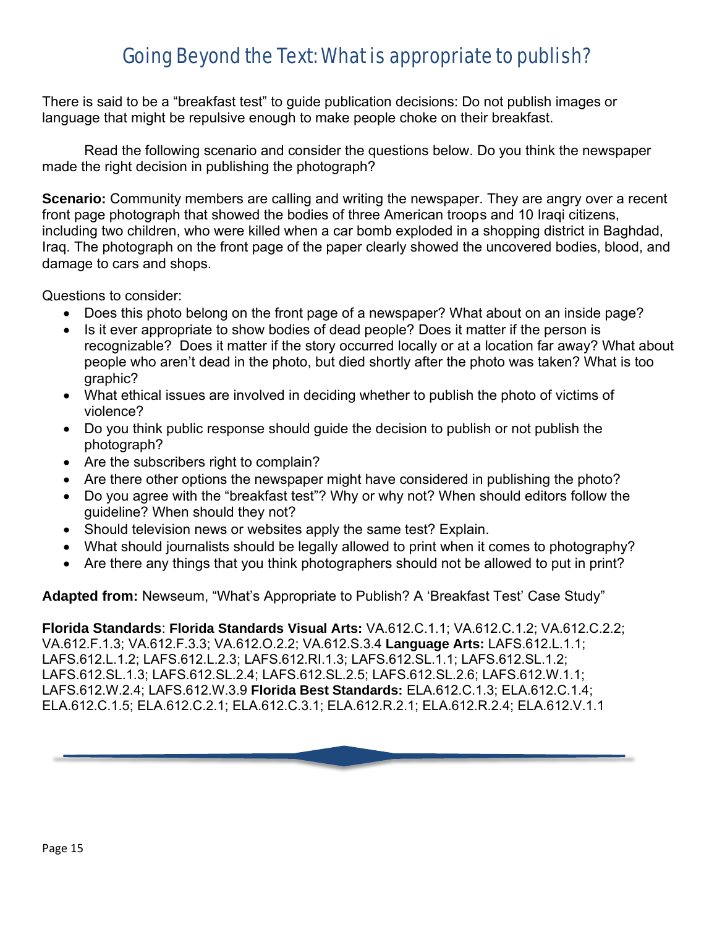### Going Beyond the Text: What is appropriate to publish?

There is said to be a "breakfast test" to guide publication decisions: Do not publish images or language that might be repulsive enough to make people choke on their breakfast.

Read the following scenario and consider the questions below. Do you think the newspaper made the right decision in publishing the photograph?

**Scenario:** Community members are calling and writing the newspaper. They are angry over a recent front page photograph that showed the bodies of three American troops and 10 Iraqi citizens, including two children, who were killed when a car bomb exploded in a shopping district in Baghdad, Iraq. The photograph on the front page of the paper clearly showed the uncovered bodies, blood, and damage to cars and shops.

Questions to consider:

- Does this photo belong on the front page of a newspaper? What about on an inside page?
- Is it ever appropriate to show bodies of dead people? Does it matter if the person is recognizable? Does it matter if the story occurred locally or at a location far away? What about people who aren't dead in the photo, but died shortly after the photo was taken? What is too graphic?
- What ethical issues are involved in deciding whether to publish the photo of victims of violence?
- Do you think public response should guide the decision to publish or not publish the photograph?
- Are the subscribers right to complain?
- Are there other options the newspaper might have considered in publishing the photo?
- Do you agree with the "breakfast test"? Why or why not? When should editors follow the guideline? When should they not?
- Should television news or websites apply the same test? Explain.
- What should journalists should be legally allowed to print when it comes to photography?
- Are there any things that you think photographers should not be allowed to put in print?

**Adapted from:** Newseum, "What's Appropriate to Publish? A 'Breakfast Test' Case Study"

**Florida Standards**: **Florida Standards Visual Arts:** VA.612.C.1.1; VA.612.C.1.2; VA.612.C.2.2; VA.612.F.1.3; VA.612.F.3.3; VA.612.O.2.2; VA.612.S.3.4 **Language Arts:** LAFS.612.L.1.1; LAFS.612.L.1.2; LAFS.612.L.2.3; LAFS.612.RI.1.3; LAFS.612.SL.1.1; LAFS.612.SL.1.2; LAFS.612.SL.1.3; LAFS.612.SL.2.4; LAFS.612.SL.2.5; LAFS.612.SL.2.6; LAFS.612.W.1.1; LAFS.612.W.2.4; LAFS.612.W.3.9 **Florida Best Standards:** ELA.612.C.1.3; ELA.612.C.1.4; ELA.612.C.1.5; ELA.612.C.2.1; ELA.612.C.3.1; ELA.612.R.2.1; ELA.612.R.2.4; ELA.612.V.1.1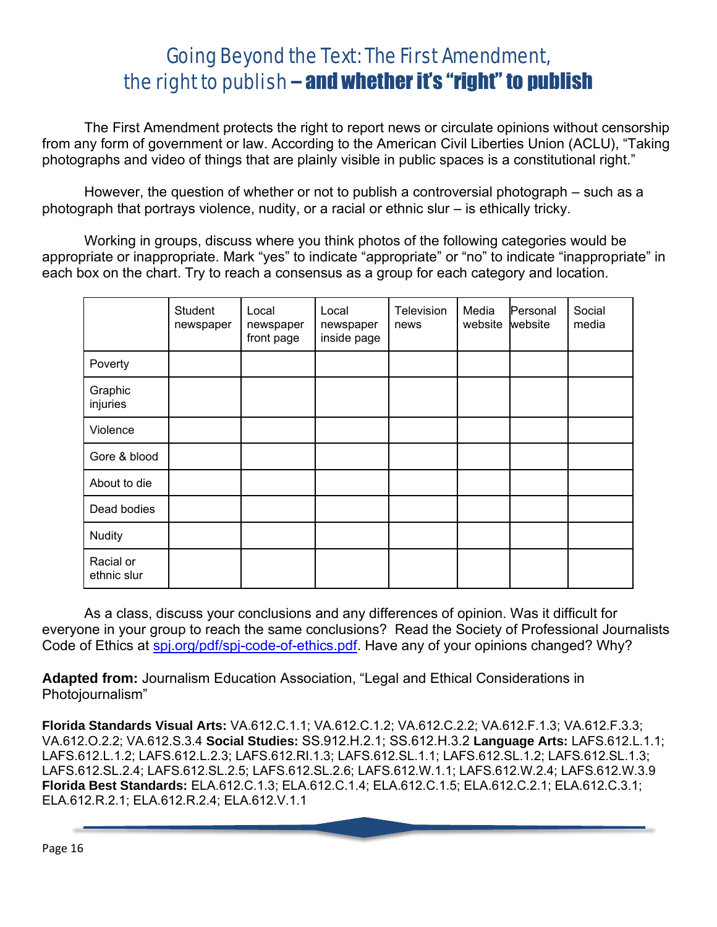### Going Beyond the Text: The First Amendment, the right to publish – and whether it's "right" to publish

The First Amendment protects the right to report news or circulate opinions without censorship from any form of government or law. According to the American Civil Liberties Union (ACLU), "Taking photographs and video of things that are plainly visible in public spaces is a constitutional right."

However, the question of whether or not to publish a controversial photograph – such as a photograph that portrays violence, nudity, or a racial or ethnic slur – is ethically tricky.

Working in groups, discuss where you think photos of the following categories would be appropriate or inappropriate. Mark "yes" to indicate "appropriate" or "no" to indicate "inappropriate" in each box on the chart. Try to reach a consensus as a group for each category and location.

|                          | Student<br>newspaper | Local<br>newspaper<br>front page | Local<br>newspaper<br>inside page | Television<br>news | Media<br>website | Personal<br>website | Social<br>media |
|--------------------------|----------------------|----------------------------------|-----------------------------------|--------------------|------------------|---------------------|-----------------|
| Poverty                  |                      |                                  |                                   |                    |                  |                     |                 |
| Graphic<br>injuries      |                      |                                  |                                   |                    |                  |                     |                 |
| Violence                 |                      |                                  |                                   |                    |                  |                     |                 |
| Gore & blood             |                      |                                  |                                   |                    |                  |                     |                 |
| About to die             |                      |                                  |                                   |                    |                  |                     |                 |
| Dead bodies              |                      |                                  |                                   |                    |                  |                     |                 |
| <b>Nudity</b>            |                      |                                  |                                   |                    |                  |                     |                 |
| Racial or<br>ethnic slur |                      |                                  |                                   |                    |                  |                     |                 |

As a class, discuss your conclusions and any differences of opinion. Was it difficult for everyone in your group to reach the same conclusions? Read the Society of Professional Journalists Code of Ethics at spi.org/pdf/spi-code-of-ethics.pdf. Have any of your opinions changed? Why?

**Adapted from:** Journalism Education Association, "Legal and Ethical Considerations in Photojournalism"

**Florida Standards Visual Arts:** VA.612.C.1.1; VA.612.C.1.2; VA.612.C.2.2; VA.612.F.1.3; VA.612.F.3.3; VA.612.O.2.2; VA.612.S.3.4 **Social Studies:** SS.912.H.2.1; SS.612.H.3.2 **Language Arts:** LAFS.612.L.1.1; LAFS.612.L.1.2; LAFS.612.L.2.3; LAFS.612.RI.1.3; LAFS.612.SL.1.1; LAFS.612.SL.1.2; LAFS.612.SL.1.3; LAFS.612.SL.2.4; LAFS.612.SL.2.5; LAFS.612.SL.2.6; LAFS.612.W.1.1; LAFS.612.W.2.4; LAFS.612.W.3.9 **Florida Best Standards:** ELA.612.C.1.3; ELA.612.C.1.4; ELA.612.C.1.5; ELA.612.C.2.1; ELA.612.C.3.1; ELA.612.R.2.1; ELA.612.R.2.4; ELA.612.V.1.1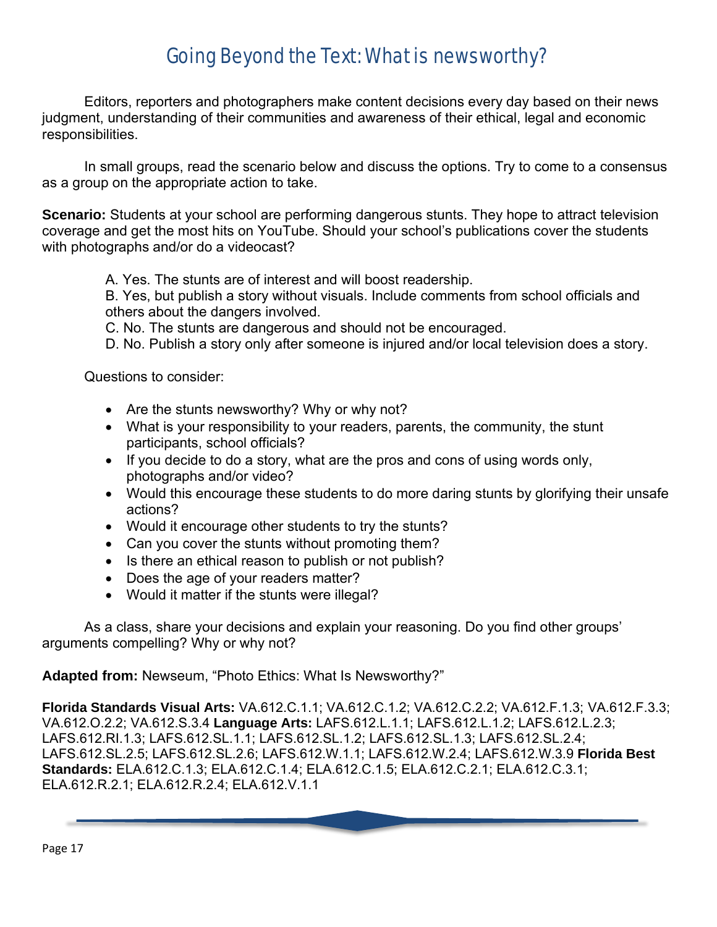### Going Beyond the Text: What is newsworthy?

Editors, reporters and photographers make content decisions every day based on their news judgment, understanding of their communities and awareness of their ethical, legal and economic responsibilities.

In small groups, read the scenario below and discuss the options. Try to come to a consensus as a group on the appropriate action to take.

**Scenario:** Students at your school are performing dangerous stunts. They hope to attract television coverage and get the most hits on YouTube. Should your school's publications cover the students with photographs and/or do a videocast?

A. Yes. The stunts are of interest and will boost readership.

B. Yes, but publish a story without visuals. Include comments from school officials and others about the dangers involved.

C. No. The stunts are dangerous and should not be encouraged.

D. No. Publish a story only after someone is injured and/or local television does a story.

Questions to consider:

- Are the stunts newsworthy? Why or why not?
- What is your responsibility to your readers, parents, the community, the stunt participants, school officials?
- If you decide to do a story, what are the pros and cons of using words only, photographs and/or video?
- Would this encourage these students to do more daring stunts by glorifying their unsafe actions?
- Would it encourage other students to try the stunts?
- Can you cover the stunts without promoting them?
- Is there an ethical reason to publish or not publish?
- Does the age of your readers matter?
- Would it matter if the stunts were illegal?

As a class, share your decisions and explain your reasoning. Do you find other groups' arguments compelling? Why or why not?

**Adapted from:** Newseum, "Photo Ethics: What Is Newsworthy?"

**Florida Standards Visual Arts:** VA.612.C.1.1; VA.612.C.1.2; VA.612.C.2.2; VA.612.F.1.3; VA.612.F.3.3; VA.612.O.2.2; VA.612.S.3.4 **Language Arts:** LAFS.612.L.1.1; LAFS.612.L.1.2; LAFS.612.L.2.3; LAFS.612.RI.1.3; LAFS.612.SL.1.1; LAFS.612.SL.1.2; LAFS.612.SL.1.3; LAFS.612.SL.2.4; LAFS.612.SL.2.5; LAFS.612.SL.2.6; LAFS.612.W.1.1; LAFS.612.W.2.4; LAFS.612.W.3.9 **Florida Best Standards:** ELA.612.C.1.3; ELA.612.C.1.4; ELA.612.C.1.5; ELA.612.C.2.1; ELA.612.C.3.1; ELA.612.R.2.1; ELA.612.R.2.4; ELA.612.V.1.1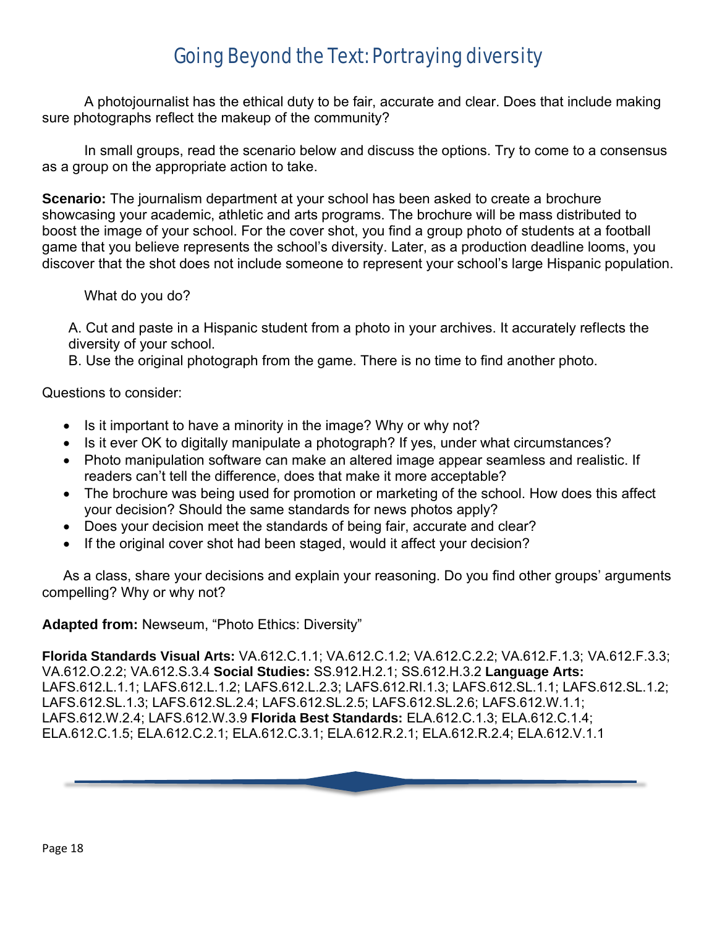### Going Beyond the Text: Portraying diversity

A photojournalist has the ethical duty to be fair, accurate and clear. Does that include making sure photographs reflect the makeup of the community?

In small groups, read the scenario below and discuss the options. Try to come to a consensus as a group on the appropriate action to take.

**Scenario:** The journalism department at your school has been asked to create a brochure showcasing your academic, athletic and arts programs. The brochure will be mass distributed to boost the image of your school. For the cover shot, you find a group photo of students at a football game that you believe represents the school's diversity. Later, as a production deadline looms, you discover that the shot does not include someone to represent your school's large Hispanic population.

What do you do?

A. Cut and paste in a Hispanic student from a photo in your archives. It accurately reflects the diversity of your school.

B. Use the original photograph from the game. There is no time to find another photo.

Questions to consider:

- Is it important to have a minority in the image? Why or why not?
- Is it ever OK to digitally manipulate a photograph? If yes, under what circumstances?
- Photo manipulation software can make an altered image appear seamless and realistic. If readers can't tell the difference, does that make it more acceptable?
- The brochure was being used for promotion or marketing of the school. How does this affect your decision? Should the same standards for news photos apply?
- Does your decision meet the standards of being fair, accurate and clear?
- If the original cover shot had been staged, would it affect your decision?

As a class, share your decisions and explain your reasoning. Do you find other groups' arguments compelling? Why or why not?

#### **Adapted from:** Newseum, "Photo Ethics: Diversity"

**Florida Standards Visual Arts:** VA.612.C.1.1; VA.612.C.1.2; VA.612.C.2.2; VA.612.F.1.3; VA.612.F.3.3; VA.612.O.2.2; VA.612.S.3.4 **Social Studies:** SS.912.H.2.1; SS.612.H.3.2 **Language Arts:**  LAFS.612.L.1.1; LAFS.612.L.1.2; LAFS.612.L.2.3; LAFS.612.RI.1.3; LAFS.612.SL.1.1; LAFS.612.SL.1.2; LAFS.612.SL.1.3; LAFS.612.SL.2.4; LAFS.612.SL.2.5; LAFS.612.SL.2.6; LAFS.612.W.1.1; LAFS.612.W.2.4; LAFS.612.W.3.9 **Florida Best Standards:** ELA.612.C.1.3; ELA.612.C.1.4; ELA.612.C.1.5; ELA.612.C.2.1; ELA.612.C.3.1; ELA.612.R.2.1; ELA.612.R.2.4; ELA.612.V.1.1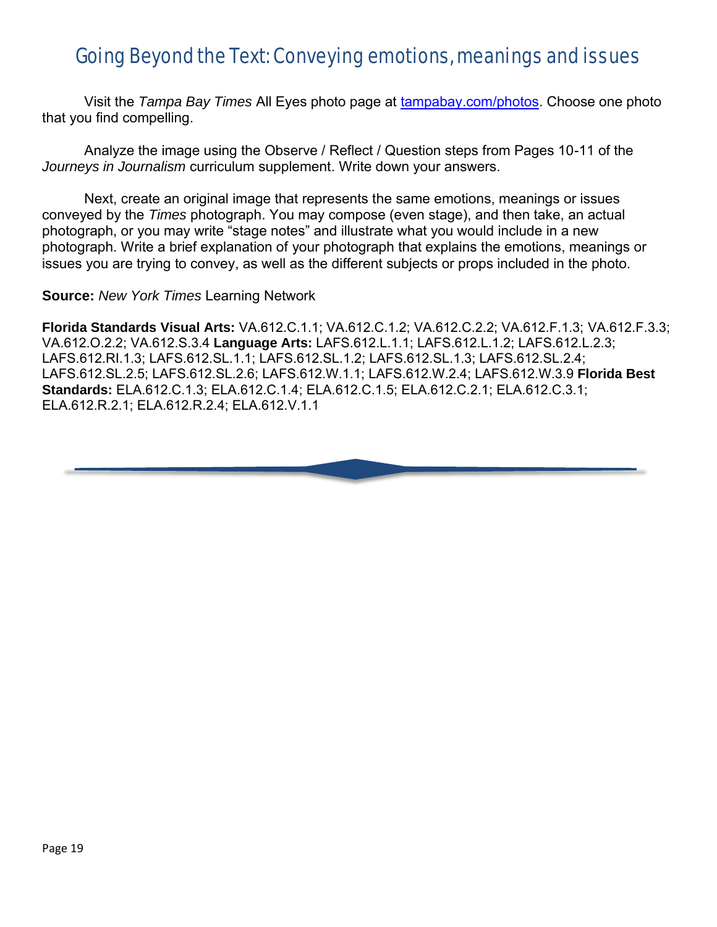### Going Beyond the Text: Conveying emotions, meanings and issues

Visit the *Tampa Bay Times* All Eyes photo page at [tampabay.com/photos.](https://www.tampabay.com/photos/) Choose one photo that you find compelling.

Analyze the image using the Observe / Reflect / Question steps from Pages 10-11 of the *Journeys in Journalism* curriculum supplement. Write down your answers.

Next, create an original image that represents the same emotions, meanings or issues conveyed by the *Times* photograph. You may compose (even stage), and then take, an actual photograph, or you may write "stage notes" and illustrate what you would include in a new photograph. Write a brief explanation of your photograph that explains the emotions, meanings or issues you are trying to convey, as well as the different subjects or props included in the photo.

**Source:** *New York Times* Learning Network

**Florida Standards Visual Arts:** VA.612.C.1.1; VA.612.C.1.2; VA.612.C.2.2; VA.612.F.1.3; VA.612.F.3.3; VA.612.O.2.2; VA.612.S.3.4 **Language Arts:** LAFS.612.L.1.1; LAFS.612.L.1.2; LAFS.612.L.2.3; LAFS.612.RI.1.3; LAFS.612.SL.1.1; LAFS.612.SL.1.2; LAFS.612.SL.1.3; LAFS.612.SL.2.4; LAFS.612.SL.2.5; LAFS.612.SL.2.6; LAFS.612.W.1.1; LAFS.612.W.2.4; LAFS.612.W.3.9 **Florida Best Standards:** ELA.612.C.1.3; ELA.612.C.1.4; ELA.612.C.1.5; ELA.612.C.2.1; ELA.612.C.3.1; ELA.612.R.2.1; ELA.612.R.2.4; ELA.612.V.1.1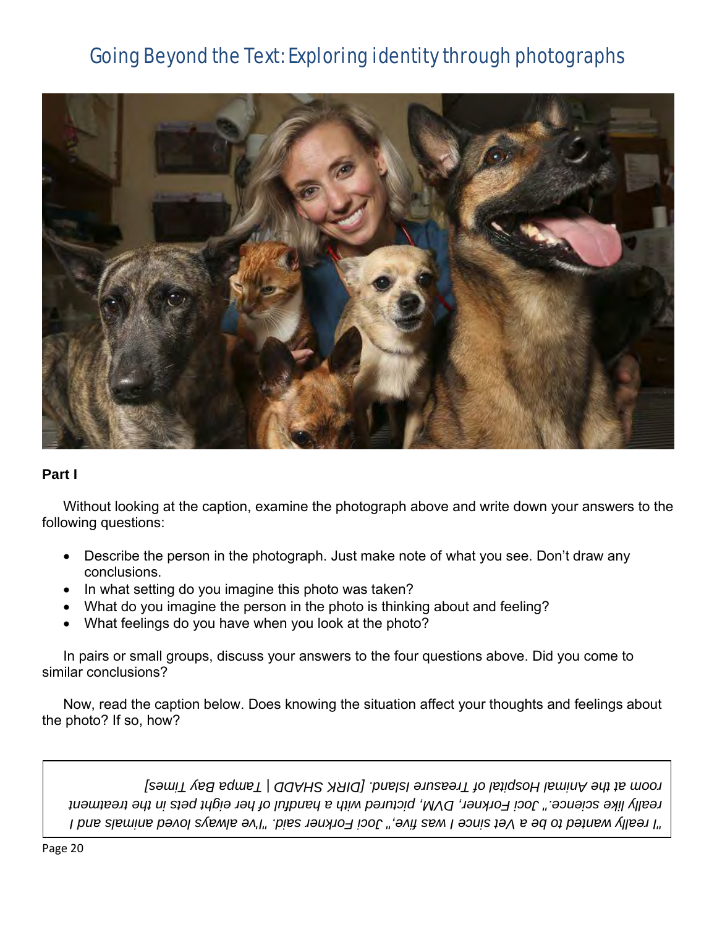### Going Beyond the Text: Exploring identity through photographs



#### **Part I**

Without looking at the caption, examine the photograph above and write down your answers to the following questions:

- Describe the person in the photograph. Just make note of what you see. Don't draw any conclusions.
- In what setting do you imagine this photo was taken?
- What do you imagine the person in the photo is thinking about and feeling?
- What feelings do you have when you look at the photo?

In pairs or small groups, discuss your answers to the four questions above. Did you come to similar conclusions?

Now, read the caption below. Does knowing the situation affect your thoughts and feelings about the photo? If so, how?

*as five," Joci Forkner said. "I've always loved animals and I "I really wanted to be a Vet since I w really like science." Joci Forkner, DVM, pictured with a handful of her eight pets in the treatment room at the Animal Hospital of Treasure Island. [DIRK SHADD | Tampa Bay Times]*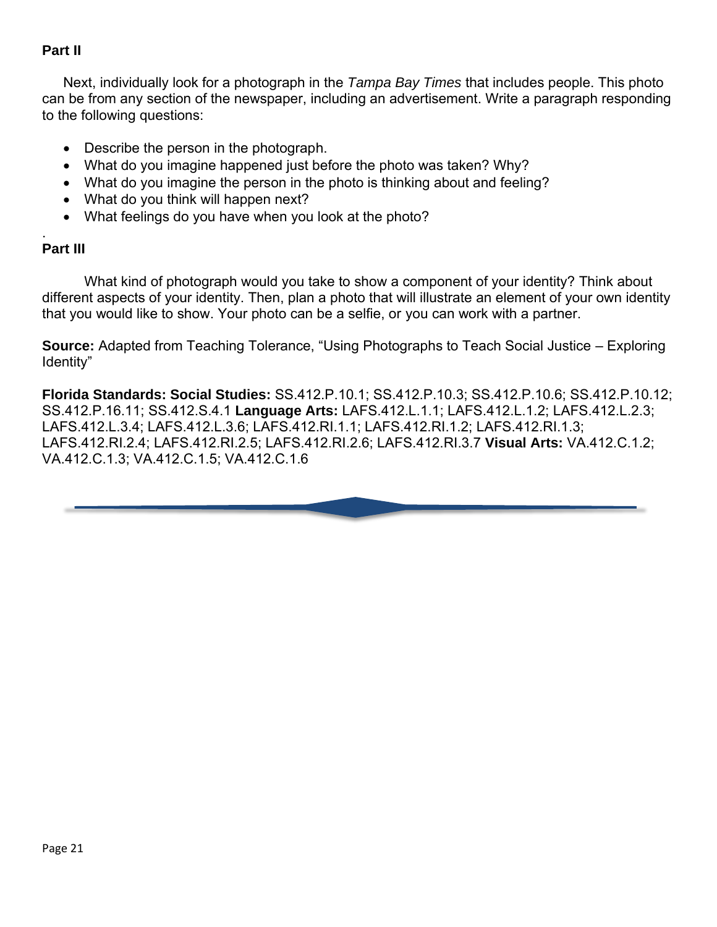### **Part II**

Next, individually look for a photograph in the *Tampa Bay Times* that includes people. This photo can be from any section of the newspaper, including an advertisement. Write a paragraph responding to the following questions:

- Describe the person in the photograph.
- What do you imagine happened just before the photo was taken? Why?
- What do you imagine the person in the photo is thinking about and feeling?
- What do you think will happen next?
- What feelings do you have when you look at the photo?

#### . **Part III**

What kind of photograph would you take to show a component of your identity? Think about different aspects of your identity. Then, plan a photo that will illustrate an element of your own identity that you would like to show. Your photo can be a selfie, or you can work with a partner.

**Source:** Adapted from Teaching Tolerance, "Using Photographs to Teach Social Justice – Exploring Identity"

**Florida Standards: Social Studies:** SS.412.P.10.1; SS.412.P.10.3; SS.412.P.10.6; SS.412.P.10.12; SS.412.P.16.11; SS.412.S.4.1 **Language Arts:** LAFS.412.L.1.1; LAFS.412.L.1.2; LAFS.412.L.2.3; LAFS.412.L.3.4; LAFS.412.L.3.6; LAFS.412.RI.1.1; LAFS.412.RI.1.2; LAFS.412.RI.1.3; LAFS.412.RI.2.4; LAFS.412.RI.2.5; LAFS.412.RI.2.6; LAFS.412.RI.3.7 **Visual Arts:** VA.412.C.1.2; VA.412.C.1.3; VA.412.C.1.5; VA.412.C.1.6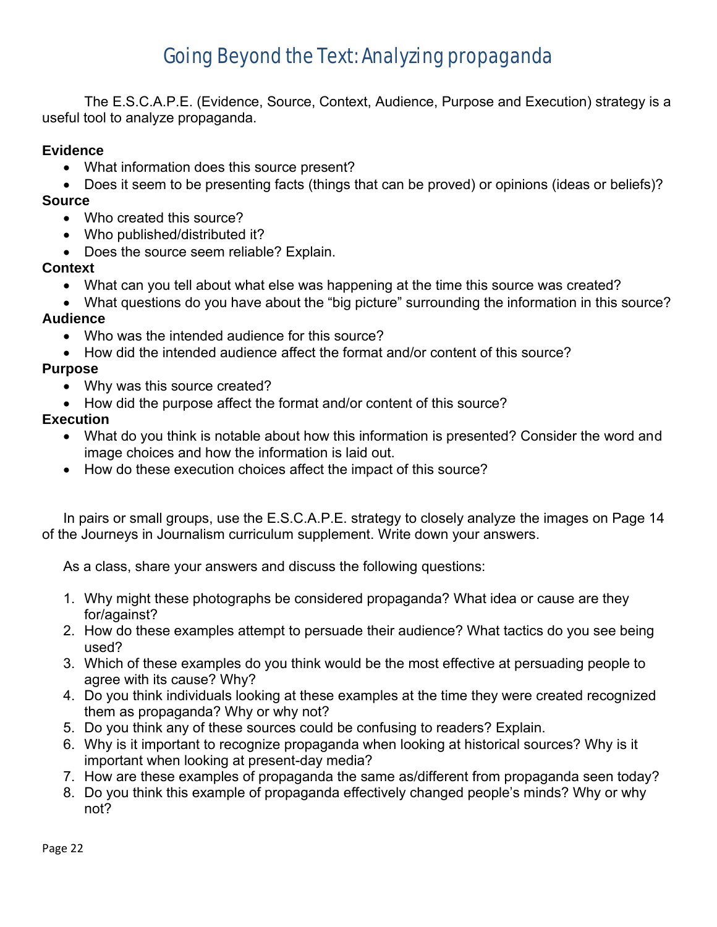### Going Beyond the Text: Analyzing propaganda

The E.S.C.A.P.E. (Evidence, Source, Context, Audience, Purpose and Execution) strategy is a useful tool to analyze propaganda.

#### **Evidence**

- What information does this source present?
- Does it seem to be presenting facts (things that can be proved) or opinions (ideas or beliefs)? **Source**
	- Who created this source?
	- Who published/distributed it?
	- Does the source seem reliable? Explain.

#### **Context**

- What can you tell about what else was happening at the time this source was created?
- What questions do you have about the "big picture" surrounding the information in this source? **Audience**

- Who was the intended audience for this source?
- How did the intended audience affect the format and/or content of this source?

#### **Purpose**

- Why was this source created?
- How did the purpose affect the format and/or content of this source?

#### **Execution**

- What do you think is notable about how this information is presented? Consider the word and image choices and how the information is laid out.
- How do these execution choices affect the impact of this source?

In pairs or small groups, use the E.S.C.A.P.E. strategy to closely analyze the images on Page 14 of the Journeys in Journalism curriculum supplement. Write down your answers.

As a class, share your answers and discuss the following questions:

- 1. Why might these photographs be considered propaganda? What idea or cause are they for/against?
- 2. How do these examples attempt to persuade their audience? What tactics do you see being used?
- 3. Which of these examples do you think would be the most effective at persuading people to agree with its cause? Why?
- 4. Do you think individuals looking at these examples at the time they were created recognized them as propaganda? Why or why not?
- 5. Do you think any of these sources could be confusing to readers? Explain.
- 6. Why is it important to recognize propaganda when looking at historical sources? Why is it important when looking at present-day media?
- 7. How are these examples of propaganda the same as/different from propaganda seen today?
- 8. Do you think this example of propaganda effectively changed people's minds? Why or why not?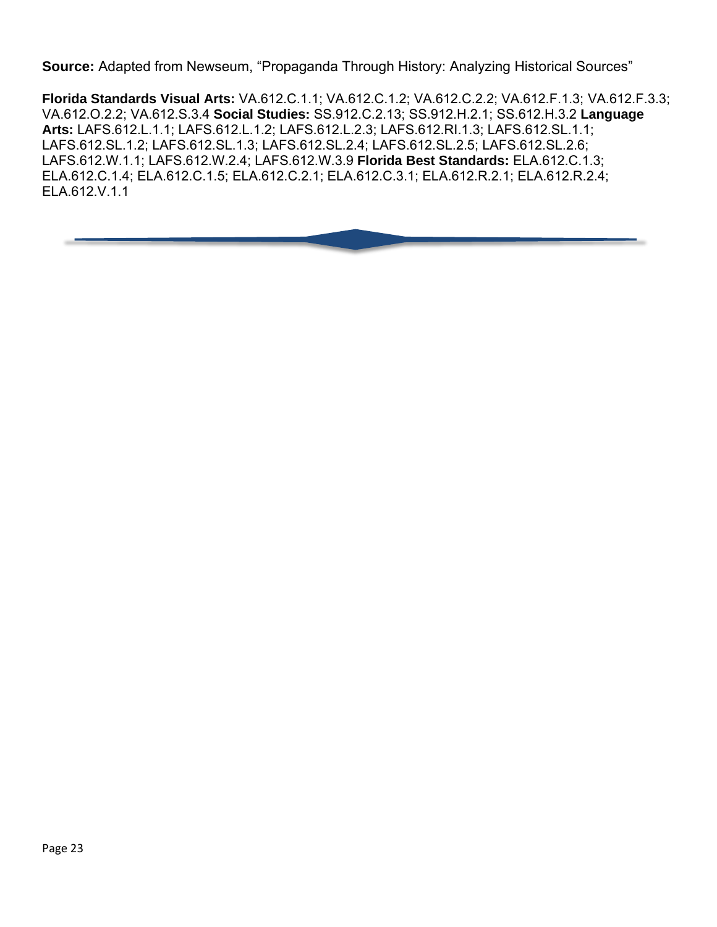**Source:** Adapted from Newseum, "Propaganda Through History: Analyzing Historical Sources"

**Florida Standards Visual Arts:** VA.612.C.1.1; VA.612.C.1.2; VA.612.C.2.2; VA.612.F.1.3; VA.612.F.3.3; VA.612.O.2.2; VA.612.S.3.4 **Social Studies:** SS.912.C.2.13; SS.912.H.2.1; SS.612.H.3.2 **Language Arts:** LAFS.612.L.1.1; LAFS.612.L.1.2; LAFS.612.L.2.3; LAFS.612.RI.1.3; LAFS.612.SL.1.1; LAFS.612.SL.1.2; LAFS.612.SL.1.3; LAFS.612.SL.2.4; LAFS.612.SL.2.5; LAFS.612.SL.2.6; LAFS.612.W.1.1; LAFS.612.W.2.4; LAFS.612.W.3.9 **Florida Best Standards:** ELA.612.C.1.3; ELA.612.C.1.4; ELA.612.C.1.5; ELA.612.C.2.1; ELA.612.C.3.1; ELA.612.R.2.1; ELA.612.R.2.4; ELA.612.V.1.1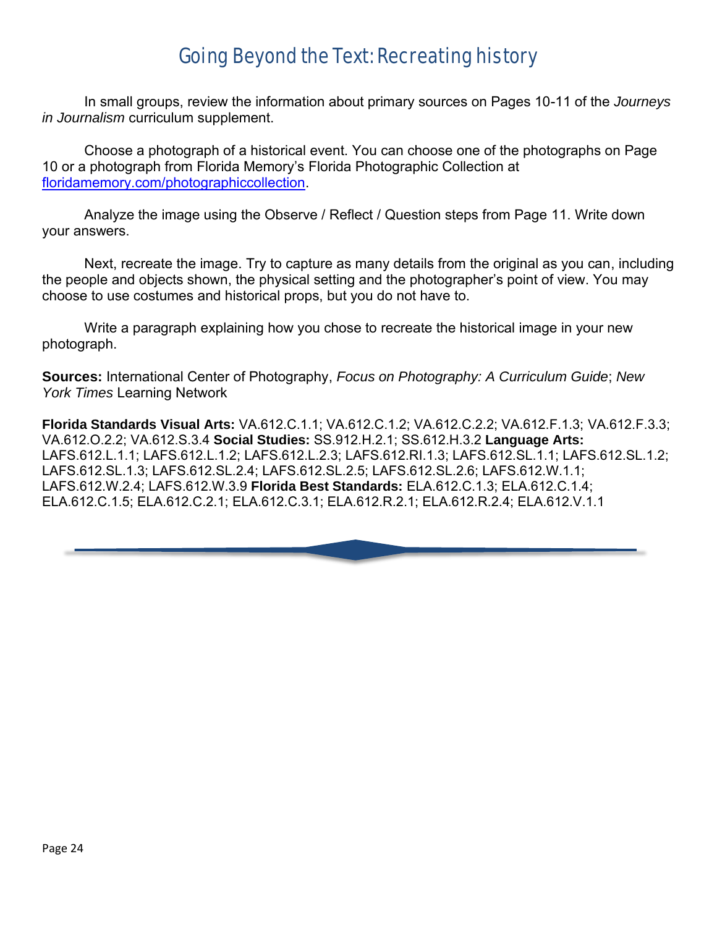### Going Beyond the Text: Recreating history

In small groups, review the information about primary sources on Pages 10-11 of the *Journeys in Journalism* curriculum supplement.

Choose a photograph of a historical event. You can choose one of the photographs on Page 10 or a photograph from Florida Memory's Florida Photographic Collection at [floridamemory.com/photographiccollection.](https://www.floridamemory.com/photographiccollection/)

Analyze the image using the Observe / Reflect / Question steps from Page 11. Write down your answers.

Next, recreate the image. Try to capture as many details from the original as you can, including the people and objects shown, the physical setting and the photographer's point of view. You may choose to use costumes and historical props, but you do not have to.

Write a paragraph explaining how you chose to recreate the historical image in your new photograph.

**Sources:** International Center of Photography, *Focus on Photography: A Curriculum Guide*; *New York Times* Learning Network

**Florida Standards Visual Arts:** VA.612.C.1.1; VA.612.C.1.2; VA.612.C.2.2; VA.612.F.1.3; VA.612.F.3.3; VA.612.O.2.2; VA.612.S.3.4 **Social Studies:** SS.912.H.2.1; SS.612.H.3.2 **Language Arts:**  LAFS.612.L.1.1; LAFS.612.L.1.2; LAFS.612.L.2.3; LAFS.612.RI.1.3; LAFS.612.SL.1.1; LAFS.612.SL.1.2; LAFS.612.SL.1.3; LAFS.612.SL.2.4; LAFS.612.SL.2.5; LAFS.612.SL.2.6; LAFS.612.W.1.1; LAFS.612.W.2.4; LAFS.612.W.3.9 **Florida Best Standards:** ELA.612.C.1.3; ELA.612.C.1.4; ELA.612.C.1.5; ELA.612.C.2.1; ELA.612.C.3.1; ELA.612.R.2.1; ELA.612.R.2.4; ELA.612.V.1.1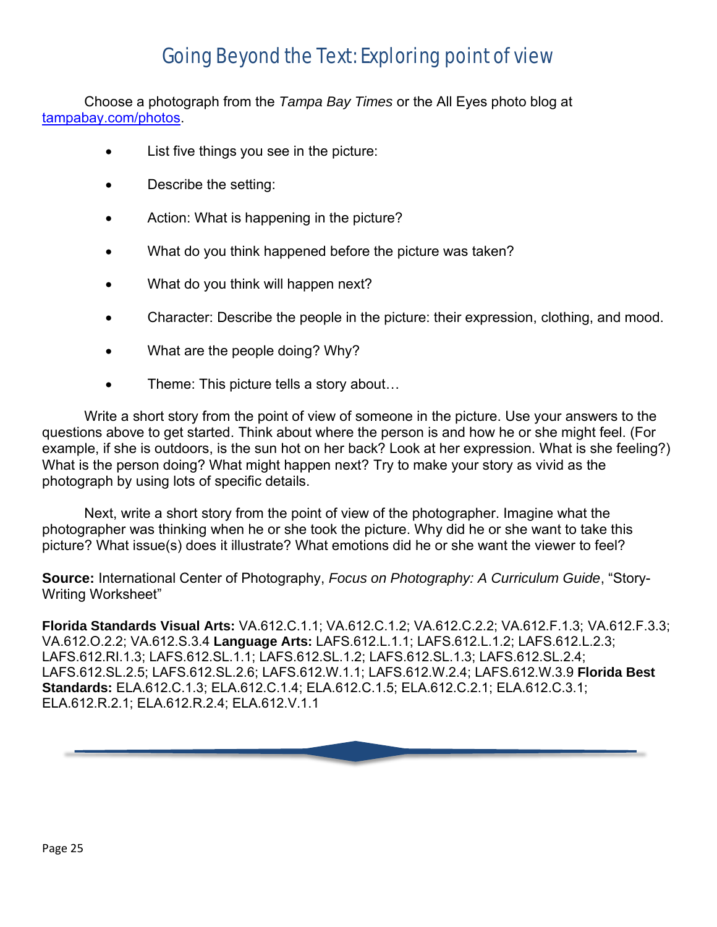### Going Beyond the Text: Exploring point of view

Choose a photograph from the *Tampa Bay Times* or the All Eyes photo blog at [tampabay.com/photos.](https://www.tampabay.com/photos/)

- List five things you see in the picture:
- Describe the setting:
- Action: What is happening in the picture?
- What do you think happened before the picture was taken?
- What do you think will happen next?
- Character: Describe the people in the picture: their expression, clothing, and mood.
- What are the people doing? Why?
- Theme: This picture tells a story about...

Write a short story from the point of view of someone in the picture. Use your answers to the questions above to get started. Think about where the person is and how he or she might feel. (For example, if she is outdoors, is the sun hot on her back? Look at her expression. What is she feeling?) What is the person doing? What might happen next? Try to make your story as vivid as the photograph by using lots of specific details.

Next, write a short story from the point of view of the photographer. Imagine what the photographer was thinking when he or she took the picture. Why did he or she want to take this picture? What issue(s) does it illustrate? What emotions did he or she want the viewer to feel?

**Source:** International Center of Photography, *Focus on Photography: A Curriculum Guide*, "Story-Writing Worksheet"

**Florida Standards Visual Arts:** VA.612.C.1.1; VA.612.C.1.2; VA.612.C.2.2; VA.612.F.1.3; VA.612.F.3.3; VA.612.O.2.2; VA.612.S.3.4 **Language Arts:** LAFS.612.L.1.1; LAFS.612.L.1.2; LAFS.612.L.2.3; LAFS.612.RI.1.3; LAFS.612.SL.1.1; LAFS.612.SL.1.2; LAFS.612.SL.1.3; LAFS.612.SL.2.4; LAFS.612.SL.2.5; LAFS.612.SL.2.6; LAFS.612.W.1.1; LAFS.612.W.2.4; LAFS.612.W.3.9 **Florida Best Standards:** ELA.612.C.1.3; ELA.612.C.1.4; ELA.612.C.1.5; ELA.612.C.2.1; ELA.612.C.3.1; ELA.612.R.2.1; ELA.612.R.2.4; ELA.612.V.1.1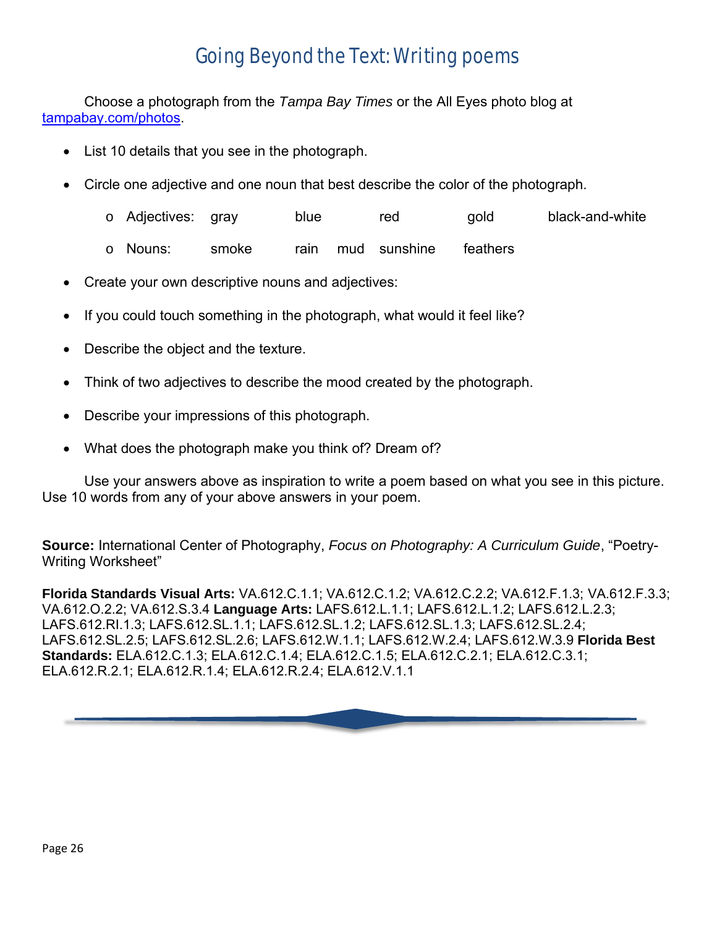### Going Beyond the Text: Writing poems

Choose a photograph from the *Tampa Bay Times* or the All Eyes photo blog at [tampabay.com/photos.](https://www.tampabay.com/photos/)

- List 10 details that you see in the photograph.
- Circle one adjective and one noun that best describe the color of the photograph.
	- o Adjectives: gray blue red gold black-and-white
	- o Nouns: smoke rain mud sunshine feathers
- Create your own descriptive nouns and adjectives:
- If you could touch something in the photograph, what would it feel like?
- Describe the object and the texture.
- Think of two adjectives to describe the mood created by the photograph.
- Describe your impressions of this photograph.
- What does the photograph make you think of? Dream of?

Use your answers above as inspiration to write a poem based on what you see in this picture. Use 10 words from any of your above answers in your poem.

**Source:** International Center of Photography, *Focus on Photography: A Curriculum Guide*, "Poetry-Writing Worksheet"

**Florida Standards Visual Arts:** VA.612.C.1.1; VA.612.C.1.2; VA.612.C.2.2; VA.612.F.1.3; VA.612.F.3.3; VA.612.O.2.2; VA.612.S.3.4 **Language Arts:** LAFS.612.L.1.1; LAFS.612.L.1.2; LAFS.612.L.2.3; LAFS.612.RI.1.3; LAFS.612.SL.1.1; LAFS.612.SL.1.2; LAFS.612.SL.1.3; LAFS.612.SL.2.4; LAFS.612.SL.2.5; LAFS.612.SL.2.6; LAFS.612.W.1.1; LAFS.612.W.2.4; LAFS.612.W.3.9 **Florida Best Standards:** ELA.612.C.1.3; ELA.612.C.1.4; ELA.612.C.1.5; ELA.612.C.2.1; ELA.612.C.3.1; ELA.612.R.2.1; ELA.612.R.1.4; ELA.612.R.2.4; ELA.612.V.1.1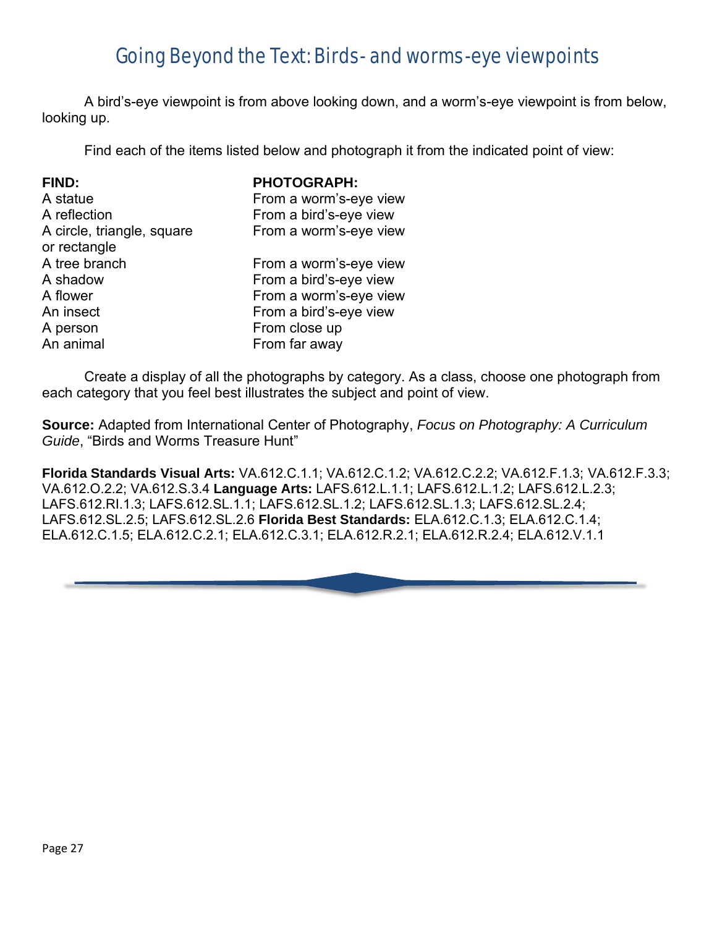### Going Beyond the Text: Birds- and worms-eye viewpoints

A bird's-eye viewpoint is from above looking down, and a worm's-eye viewpoint is from below, looking up.

Find each of the items listed below and photograph it from the indicated point of view:

| <b>FIND:</b>               | <b>PHOTOGRAPH:</b>     |
|----------------------------|------------------------|
| A statue                   | From a worm's-eye view |
| A reflection               | From a bird's-eye view |
| A circle, triangle, square | From a worm's-eye view |
| or rectangle               |                        |
| A tree branch              | From a worm's-eye view |
| A shadow                   | From a bird's-eye view |
| A flower                   | From a worm's-eye view |
| An insect                  | From a bird's-eye view |
| A person                   | From close up          |
| An animal                  | From far away          |

Create a display of all the photographs by category. As a class, choose one photograph from each category that you feel best illustrates the subject and point of view.

**Source:** Adapted from International Center of Photography, *Focus on Photography: A Curriculum Guide*, "Birds and Worms Treasure Hunt"

**Florida Standards Visual Arts:** VA.612.C.1.1; VA.612.C.1.2; VA.612.C.2.2; VA.612.F.1.3; VA.612.F.3.3; VA.612.O.2.2; VA.612.S.3.4 **Language Arts:** LAFS.612.L.1.1; LAFS.612.L.1.2; LAFS.612.L.2.3; LAFS.612.RI.1.3; LAFS.612.SL.1.1; LAFS.612.SL.1.2; LAFS.612.SL.1.3; LAFS.612.SL.2.4; LAFS.612.SL.2.5; LAFS.612.SL.2.6 **Florida Best Standards:** ELA.612.C.1.3; ELA.612.C.1.4; ELA.612.C.1.5; ELA.612.C.2.1; ELA.612.C.3.1; ELA.612.R.2.1; ELA.612.R.2.4; ELA.612.V.1.1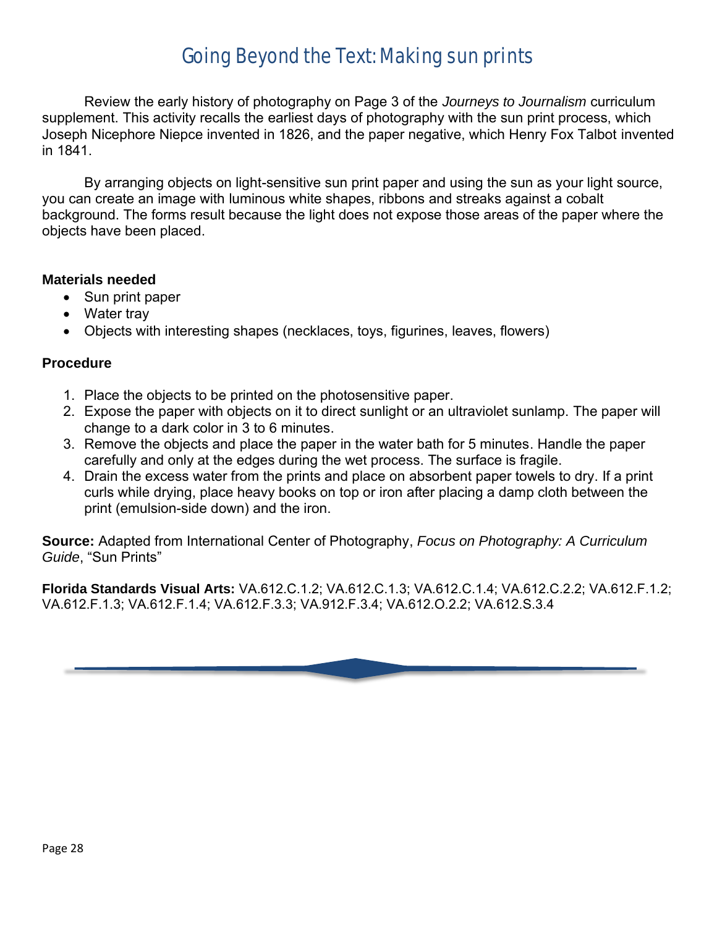### Going Beyond the Text: Making sun prints

Review the early history of photography on Page 3 of the *Journeys to Journalism* curriculum supplement. This activity recalls the earliest days of photography with the sun print process, which Joseph Nicephore Niepce invented in 1826, and the paper negative, which Henry Fox Talbot invented in 1841.

By arranging objects on light-sensitive sun print paper and using the sun as your light source, you can create an image with luminous white shapes, ribbons and streaks against a cobalt background. The forms result because the light does not expose those areas of the paper where the objects have been placed.

#### **Materials needed**

- Sun print paper
- Water tray
- Objects with interesting shapes (necklaces, toys, figurines, leaves, flowers)

#### **Procedure**

- 1. Place the objects to be printed on the photosensitive paper.
- 2. Expose the paper with objects on it to direct sunlight or an ultraviolet sunlamp. The paper will change to a dark color in 3 to 6 minutes.
- 3. Remove the objects and place the paper in the water bath for 5 minutes. Handle the paper carefully and only at the edges during the wet process. The surface is fragile.
- 4. Drain the excess water from the prints and place on absorbent paper towels to dry. If a print curls while drying, place heavy books on top or iron after placing a damp cloth between the print (emulsion-side down) and the iron.

**Source:** Adapted from International Center of Photography, *Focus on Photography: A Curriculum Guide*, "Sun Prints"

**Florida Standards Visual Arts:** VA.612.C.1.2; VA.612.C.1.3; VA.612.C.1.4; VA.612.C.2.2; VA.612.F.1.2; VA.612.F.1.3; VA.612.F.1.4; VA.612.F.3.3; VA.912.F.3.4; VA.612.O.2.2; VA.612.S.3.4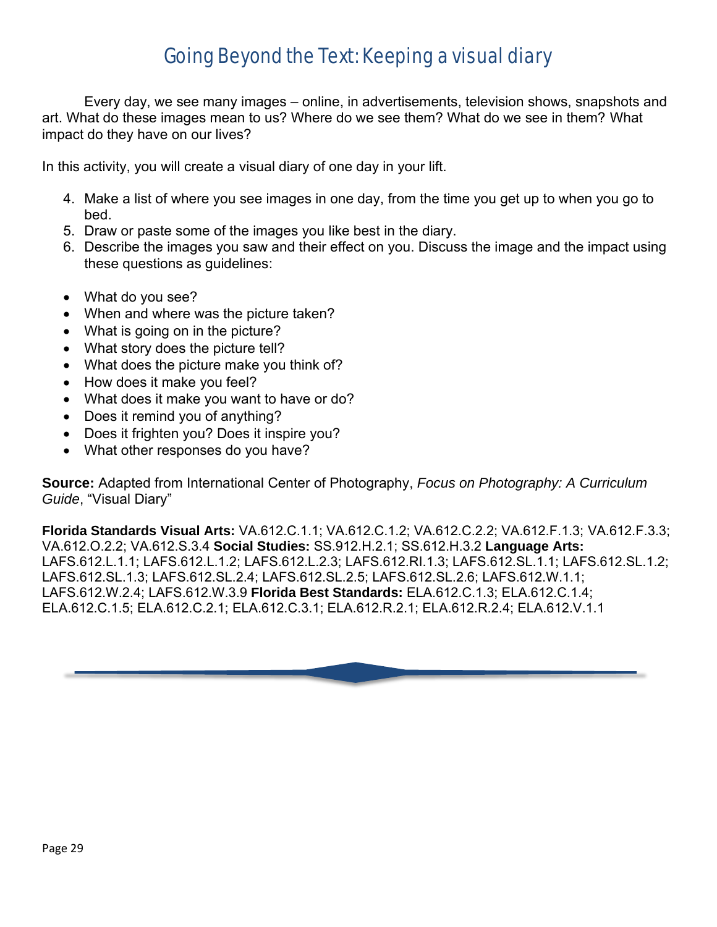### Going Beyond the Text: Keeping a visual diary

Every day, we see many images – online, in advertisements, television shows, snapshots and art. What do these images mean to us? Where do we see them? What do we see in them? What impact do they have on our lives?

In this activity, you will create a visual diary of one day in your lift.

- 4. Make a list of where you see images in one day, from the time you get up to when you go to bed.
- 5. Draw or paste some of the images you like best in the diary.
- 6. Describe the images you saw and their effect on you. Discuss the image and the impact using these questions as guidelines:
- What do you see?
- When and where was the picture taken?
- What is going on in the picture?
- What story does the picture tell?
- What does the picture make you think of?
- How does it make you feel?
- What does it make you want to have or do?
- Does it remind you of anything?
- Does it frighten you? Does it inspire you?
- What other responses do you have?

**Source:** Adapted from International Center of Photography, *Focus on Photography: A Curriculum Guide*, "Visual Diary"

**Florida Standards Visual Arts:** VA.612.C.1.1; VA.612.C.1.2; VA.612.C.2.2; VA.612.F.1.3; VA.612.F.3.3; VA.612.O.2.2; VA.612.S.3.4 **Social Studies:** SS.912.H.2.1; SS.612.H.3.2 **Language Arts:**  LAFS.612.L.1.1; LAFS.612.L.1.2; LAFS.612.L.2.3; LAFS.612.RI.1.3; LAFS.612.SL.1.1; LAFS.612.SL.1.2; LAFS.612.SL.1.3; LAFS.612.SL.2.4; LAFS.612.SL.2.5; LAFS.612.SL.2.6; LAFS.612.W.1.1; LAFS.612.W.2.4; LAFS.612.W.3.9 **Florida Best Standards:** ELA.612.C.1.3; ELA.612.C.1.4; ELA.612.C.1.5; ELA.612.C.2.1; ELA.612.C.3.1; ELA.612.R.2.1; ELA.612.R.2.4; ELA.612.V.1.1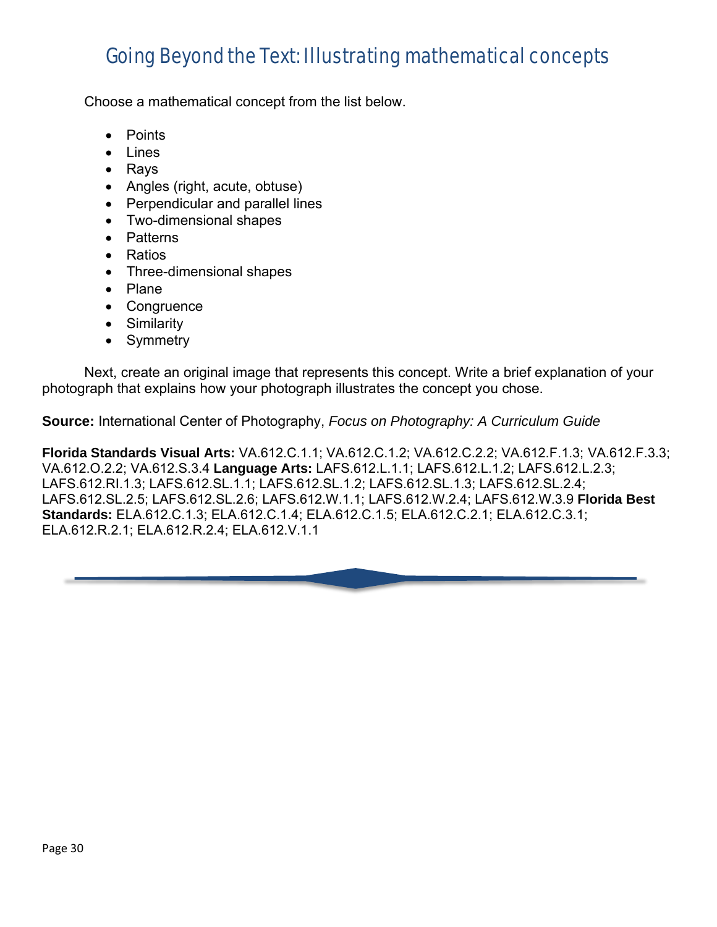### Going Beyond the Text: Illustrating mathematical concepts

Choose a mathematical concept from the list below.

- Points
- Lines
- Rays
- Angles (right, acute, obtuse)
- Perpendicular and parallel lines
- Two-dimensional shapes
- Patterns
- Ratios
- Three-dimensional shapes
- Plane
- Congruence
- Similarity
- Symmetry

Next, create an original image that represents this concept. Write a brief explanation of your photograph that explains how your photograph illustrates the concept you chose.

**Source:** International Center of Photography, *Focus on Photography: A Curriculum Guide*

**Florida Standards Visual Arts:** VA.612.C.1.1; VA.612.C.1.2; VA.612.C.2.2; VA.612.F.1.3; VA.612.F.3.3; VA.612.O.2.2; VA.612.S.3.4 **Language Arts:** LAFS.612.L.1.1; LAFS.612.L.1.2; LAFS.612.L.2.3; LAFS.612.RI.1.3; LAFS.612.SL.1.1; LAFS.612.SL.1.2; LAFS.612.SL.1.3; LAFS.612.SL.2.4; LAFS.612.SL.2.5; LAFS.612.SL.2.6; LAFS.612.W.1.1; LAFS.612.W.2.4; LAFS.612.W.3.9 **Florida Best Standards:** ELA.612.C.1.3; ELA.612.C.1.4; ELA.612.C.1.5; ELA.612.C.2.1; ELA.612.C.3.1; ELA.612.R.2.1; ELA.612.R.2.4; ELA.612.V.1.1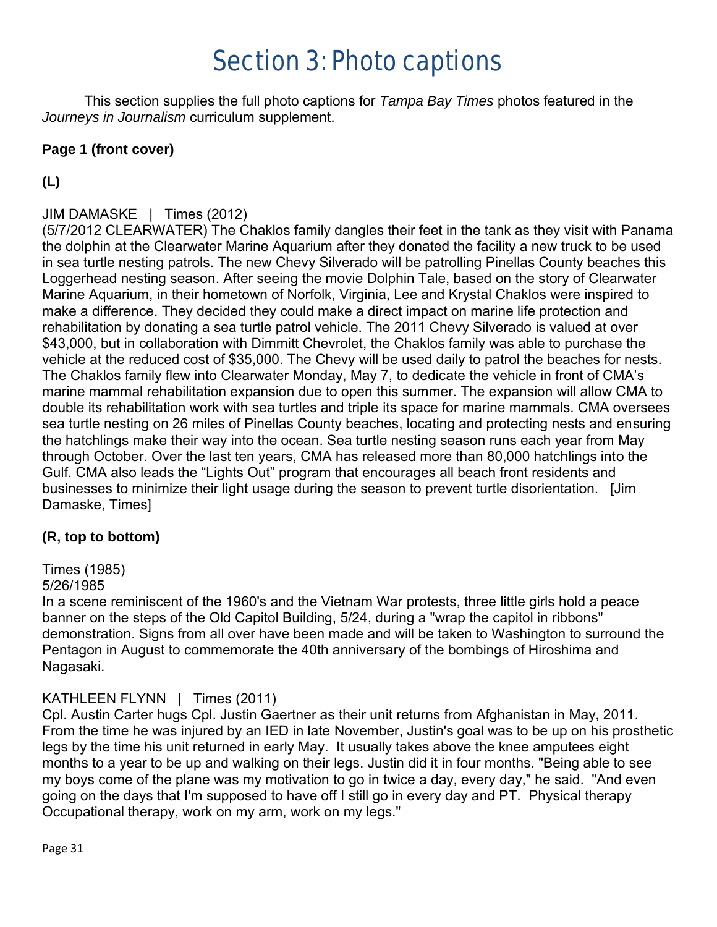### Section 3: Photo captions

This section supplies the full photo captions for *Tampa Bay Times* photos featured in the *Journeys in Journalism* curriculum supplement.

#### **Page 1 (front cover)**

#### **(L)**

#### JIM DAMASKE | Times (2012)

(5/7/2012 CLEARWATER) The Chaklos family dangles their feet in the tank as they visit with Panama the dolphin at the Clearwater Marine Aquarium after they donated the facility a new truck to be used in sea turtle nesting patrols. The new Chevy Silverado will be patrolling Pinellas County beaches this Loggerhead nesting season. After seeing the movie Dolphin Tale, based on the story of Clearwater Marine Aquarium, in their hometown of Norfolk, Virginia, Lee and Krystal Chaklos were inspired to make a difference. They decided they could make a direct impact on marine life protection and rehabilitation by donating a sea turtle patrol vehicle. The 2011 Chevy Silverado is valued at over \$43,000, but in collaboration with Dimmitt Chevrolet, the Chaklos family was able to purchase the vehicle at the reduced cost of \$35,000. The Chevy will be used daily to patrol the beaches for nests. The Chaklos family flew into Clearwater Monday, May 7, to dedicate the vehicle in front of CMA's marine mammal rehabilitation expansion due to open this summer. The expansion will allow CMA to double its rehabilitation work with sea turtles and triple its space for marine mammals. CMA oversees sea turtle nesting on 26 miles of Pinellas County beaches, locating and protecting nests and ensuring the hatchlings make their way into the ocean. Sea turtle nesting season runs each year from May through October. Over the last ten years, CMA has released more than 80,000 hatchlings into the Gulf. CMA also leads the "Lights Out" program that encourages all beach front residents and businesses to minimize their light usage during the season to prevent turtle disorientation. [Jim Damaske, Times]

#### **(R, top to bottom)**

#### Times (1985)

#### 5/26/1985

In a scene reminiscent of the 1960's and the Vietnam War protests, three little girls hold a peace banner on the steps of the Old Capitol Building, 5/24, during a "wrap the capitol in ribbons" demonstration. Signs from all over have been made and will be taken to Washington to surround the Pentagon in August to commemorate the 40th anniversary of the bombings of Hiroshima and Nagasaki.

#### KATHLEEN FLYNN | Times (2011)

Cpl. Austin Carter hugs Cpl. Justin Gaertner as their unit returns from Afghanistan in May, 2011. From the time he was injured by an IED in late November, Justin's goal was to be up on his prosthetic legs by the time his unit returned in early May. It usually takes above the knee amputees eight months to a year to be up and walking on their legs. Justin did it in four months. "Being able to see my boys come of the plane was my motivation to go in twice a day, every day," he said. "And even going on the days that I'm supposed to have off I still go in every day and PT. Physical therapy Occupational therapy, work on my arm, work on my legs."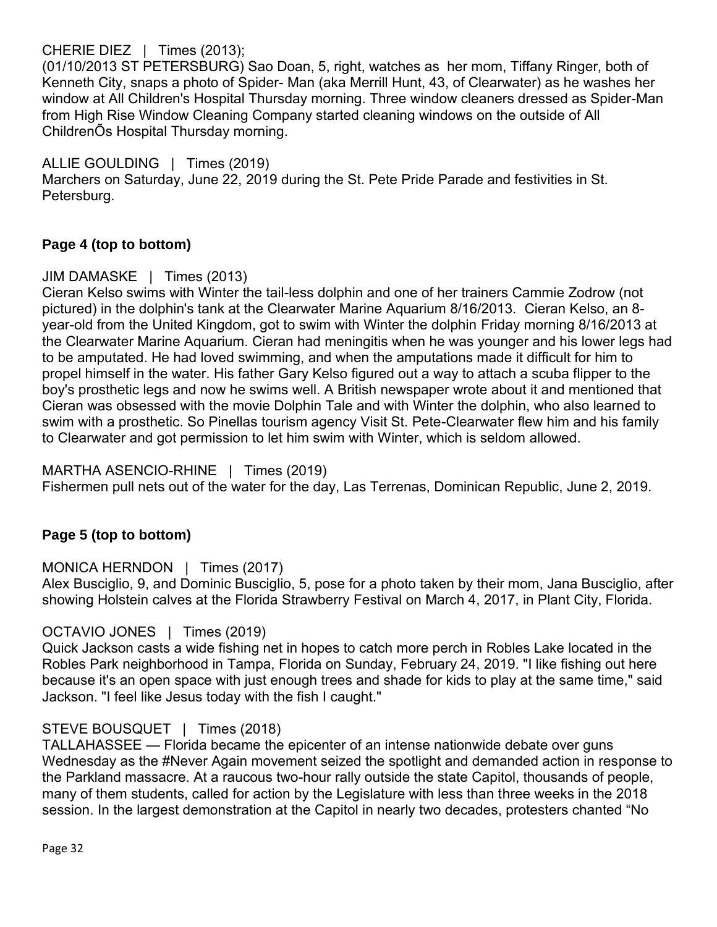CHERIE DIEZ | Times (2013);

(01/10/2013 ST PETERSBURG) Sao Doan, 5, right, watches as her mom, Tiffany Ringer, both of Kenneth City, snaps a photo of Spider- Man (aka Merrill Hunt, 43, of Clearwater) as he washes her window at All Children's Hospital Thursday morning. Three window cleaners dressed as Spider-Man from High Rise Window Cleaning Company started cleaning windows on the outside of All ChildrenÕs Hospital Thursday morning.

ALLIE GOULDING | Times (2019) Marchers on Saturday, June 22, 2019 during the St. Pete Pride Parade and festivities in St. Petersburg.

#### **Page 4 (top to bottom)**

#### JIM DAMASKE | Times (2013)

Cieran Kelso swims with Winter the tail-less dolphin and one of her trainers Cammie Zodrow (not pictured) in the dolphin's tank at the Clearwater Marine Aquarium 8/16/2013. Cieran Kelso, an 8 year-old from the United Kingdom, got to swim with Winter the dolphin Friday morning 8/16/2013 at the Clearwater Marine Aquarium. Cieran had meningitis when he was younger and his lower legs had to be amputated. He had loved swimming, and when the amputations made it difficult for him to propel himself in the water. His father Gary Kelso figured out a way to attach a scuba flipper to the boy's prosthetic legs and now he swims well. A British newspaper wrote about it and mentioned that Cieran was obsessed with the movie Dolphin Tale and with Winter the dolphin, who also learned to swim with a prosthetic. So Pinellas tourism agency Visit St. Pete-Clearwater flew him and his family to Clearwater and got permission to let him swim with Winter, which is seldom allowed.

#### MARTHA ASENCIO-RHINE | Times (2019)

Fishermen pull nets out of the water for the day, Las Terrenas, Dominican Republic, June 2, 2019.

#### **Page 5 (top to bottom)**

#### MONICA HERNDON | Times (2017)

Alex Busciglio, 9, and Dominic Busciglio, 5, pose for a photo taken by their mom, Jana Busciglio, after showing Holstein calves at the Florida Strawberry Festival on March 4, 2017, in Plant City, Florida.

#### OCTAVIO JONES | Times (2019)

Quick Jackson casts a wide fishing net in hopes to catch more perch in Robles Lake located in the Robles Park neighborhood in Tampa, Florida on Sunday, February 24, 2019. "I like fishing out here because it's an open space with just enough trees and shade for kids to play at the same time," said Jackson. "I feel like Jesus today with the fish I caught."

#### STEVE BOUSQUET | Times (2018)

TALLAHASSEE — Florida became the epicenter of an intense nationwide debate over guns Wednesday as the #Never Again movement seized the spotlight and demanded action in response to the Parkland massacre. At a raucous two-hour rally outside the state Capitol, thousands of people, many of them students, called for action by the Legislature with less than three weeks in the 2018 session. In the largest demonstration at the Capitol in nearly two decades, protesters chanted "No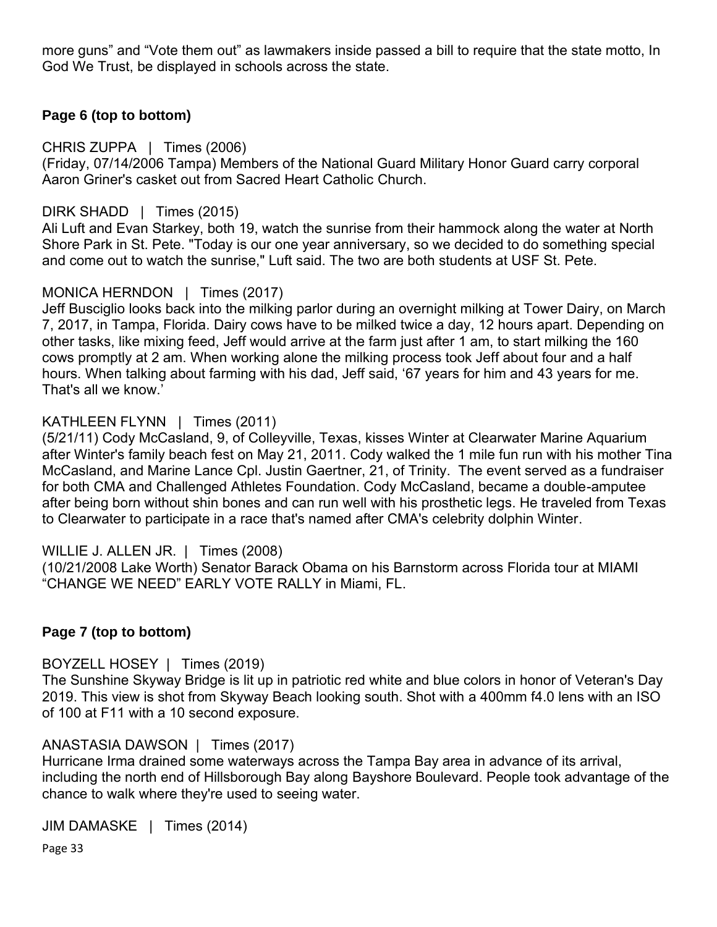more guns" and "Vote them out" as lawmakers inside passed a bill to require that the state motto, In God We Trust, be displayed in schools across the state.

#### **Page 6 (top to bottom)**

CHRIS ZUPPA | Times (2006)

(Friday, 07/14/2006 Tampa) Members of the National Guard Military Honor Guard carry corporal Aaron Griner's casket out from Sacred Heart Catholic Church.

#### DIRK SHADD | Times (2015)

Ali Luft and Evan Starkey, both 19, watch the sunrise from their hammock along the water at North Shore Park in St. Pete. "Today is our one year anniversary, so we decided to do something special and come out to watch the sunrise," Luft said. The two are both students at USF St. Pete.

#### MONICA HERNDON | Times (2017)

Jeff Busciglio looks back into the milking parlor during an overnight milking at Tower Dairy, on March 7, 2017, in Tampa, Florida. Dairy cows have to be milked twice a day, 12 hours apart. Depending on other tasks, like mixing feed, Jeff would arrive at the farm just after 1 am, to start milking the 160 cows promptly at 2 am. When working alone the milking process took Jeff about four and a half hours. When talking about farming with his dad, Jeff said, '67 years for him and 43 years for me. That's all we know.'

#### KATHLEEN FLYNN | Times (2011)

(5/21/11) Cody McCasland, 9, of Colleyville, Texas, kisses Winter at Clearwater Marine Aquarium after Winter's family beach fest on May 21, 2011. Cody walked the 1 mile fun run with his mother Tina McCasland, and Marine Lance Cpl. Justin Gaertner, 21, of Trinity. The event served as a fundraiser for both CMA and Challenged Athletes Foundation. Cody McCasland, became a double-amputee after being born without shin bones and can run well with his prosthetic legs. He traveled from Texas to Clearwater to participate in a race that's named after CMA's celebrity dolphin Winter.

#### WILLIE J. ALLEN JR. | Times (2008)

(10/21/2008 Lake Worth) Senator Barack Obama on his Barnstorm across Florida tour at MIAMI "CHANGE WE NEED" EARLY VOTE RALLY in Miami, FL.

#### **Page 7 (top to bottom)**

#### BOYZELL HOSEY | Times (2019)

The Sunshine Skyway Bridge is lit up in patriotic red white and blue colors in honor of Veteran's Day 2019. This view is shot from Skyway Beach looking south. Shot with a 400mm f4.0 lens with an ISO of 100 at F11 with a 10 second exposure.

#### ANASTASIA DAWSON | Times (2017)

Hurricane Irma drained some waterways across the Tampa Bay area in advance of its arrival, including the north end of Hillsborough Bay along Bayshore Boulevard. People took advantage of the chance to walk where they're used to seeing water.

JIM DAMASKE | Times (2014)

Page 33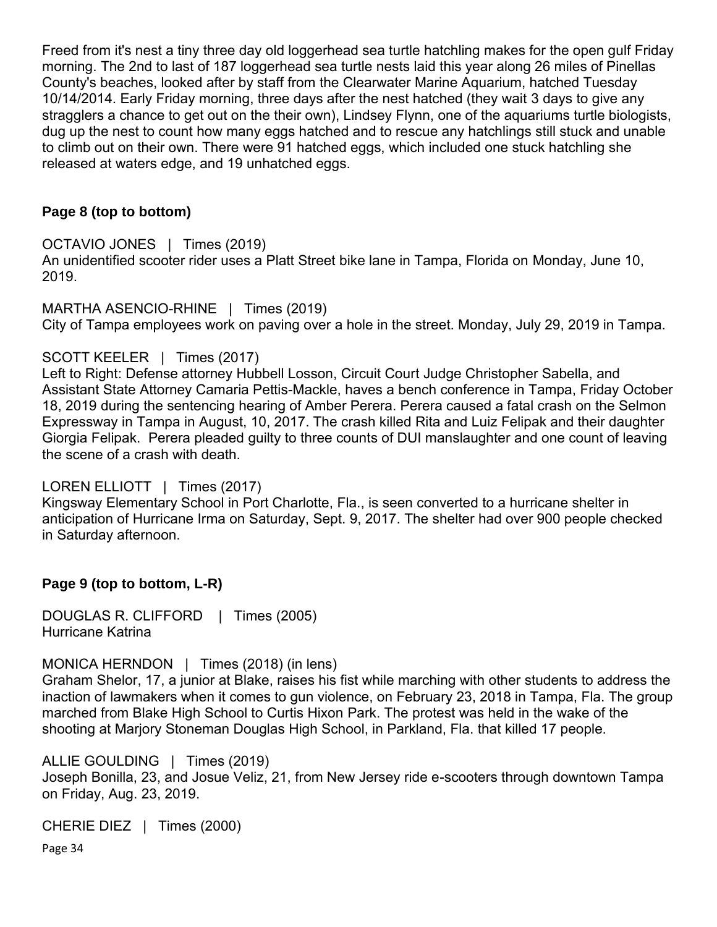Freed from it's nest a tiny three day old loggerhead sea turtle hatchling makes for the open gulf Friday morning. The 2nd to last of 187 loggerhead sea turtle nests laid this year along 26 miles of Pinellas County's beaches, looked after by staff from the Clearwater Marine Aquarium, hatched Tuesday 10/14/2014. Early Friday morning, three days after the nest hatched (they wait 3 days to give any stragglers a chance to get out on the their own), Lindsey Flynn, one of the aquariums turtle biologists, dug up the nest to count how many eggs hatched and to rescue any hatchlings still stuck and unable to climb out on their own. There were 91 hatched eggs, which included one stuck hatchling she released at waters edge, and 19 unhatched eggs.

#### **Page 8 (top to bottom)**

#### OCTAVIO JONES | Times (2019)

An unidentified scooter rider uses a Platt Street bike lane in Tampa, Florida on Monday, June 10, 2019.

MARTHA ASENCIO-RHINE | Times (2019) City of Tampa employees work on paving over a hole in the street. Monday, July 29, 2019 in Tampa.

#### SCOTT KEELER | Times (2017)

Left to Right: Defense attorney Hubbell Losson, Circuit Court Judge Christopher Sabella, and Assistant State Attorney Camaria Pettis-Mackle, haves a bench conference in Tampa, Friday October 18, 2019 during the sentencing hearing of Amber Perera. Perera caused a fatal crash on the Selmon Expressway in Tampa in August, 10, 2017. The crash killed Rita and Luiz Felipak and their daughter Giorgia Felipak. Perera pleaded guilty to three counts of DUI manslaughter and one count of leaving the scene of a crash with death.

#### LOREN ELLIOTT | Times (2017)

Kingsway Elementary School in Port Charlotte, Fla., is seen converted to a hurricane shelter in anticipation of Hurricane Irma on Saturday, Sept. 9, 2017. The shelter had over 900 people checked in Saturday afternoon.

#### **Page 9 (top to bottom, L-R)**

DOUGLAS R. CLIFFORD | Times (2005) Hurricane Katrina

#### MONICA HERNDON | Times (2018) (in lens)

Graham Shelor, 17, a junior at Blake, raises his fist while marching with other students to address the inaction of lawmakers when it comes to gun violence, on February 23, 2018 in Tampa, Fla. The group marched from Blake High School to Curtis Hixon Park. The protest was held in the wake of the shooting at Marjory Stoneman Douglas High School, in Parkland, Fla. that killed 17 people.

ALLIE GOULDING | Times (2019)

Joseph Bonilla, 23, and Josue Veliz, 21, from New Jersey ride e-scooters through downtown Tampa on Friday, Aug. 23, 2019.

CHERIE DIEZ | Times (2000)

Page 34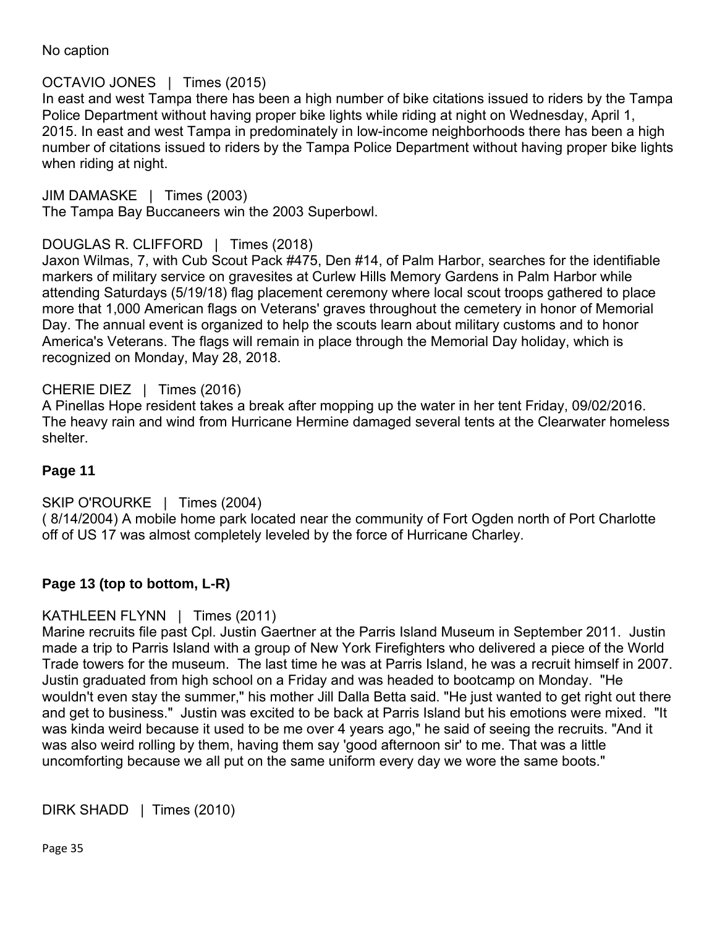No caption

#### OCTAVIO JONES | Times (2015)

In east and west Tampa there has been a high number of bike citations issued to riders by the Tampa Police Department without having proper bike lights while riding at night on Wednesday, April 1, 2015. In east and west Tampa in predominately in low-income neighborhoods there has been a high number of citations issued to riders by the Tampa Police Department without having proper bike lights when riding at night.

JIM DAMASKE | Times (2003)

The Tampa Bay Buccaneers win the 2003 Superbowl.

#### DOUGLAS R. CLIFFORD | Times (2018)

Jaxon Wilmas, 7, with Cub Scout Pack #475, Den #14, of Palm Harbor, searches for the identifiable markers of military service on gravesites at Curlew Hills Memory Gardens in Palm Harbor while attending Saturdays (5/19/18) flag placement ceremony where local scout troops gathered to place more that 1,000 American flags on Veterans' graves throughout the cemetery in honor of Memorial Day. The annual event is organized to help the scouts learn about military customs and to honor America's Veterans. The flags will remain in place through the Memorial Day holiday, which is recognized on Monday, May 28, 2018.

#### CHERIE DIEZ | Times (2016)

A Pinellas Hope resident takes a break after mopping up the water in her tent Friday, 09/02/2016. The heavy rain and wind from Hurricane Hermine damaged several tents at the Clearwater homeless shelter.

#### **Page 11**

#### SKIP O'ROURKE | Times (2004)

( 8/14/2004) A mobile home park located near the community of Fort Ogden north of Port Charlotte off of US 17 was almost completely leveled by the force of Hurricane Charley.

#### **Page 13 (top to bottom, L-R)**

#### KATHLEEN FLYNN | Times (2011)

Marine recruits file past Cpl. Justin Gaertner at the Parris Island Museum in September 2011. Justin made a trip to Parris Island with a group of New York Firefighters who delivered a piece of the World Trade towers for the museum. The last time he was at Parris Island, he was a recruit himself in 2007. Justin graduated from high school on a Friday and was headed to bootcamp on Monday. "He wouldn't even stay the summer," his mother Jill Dalla Betta said. "He just wanted to get right out there and get to business." Justin was excited to be back at Parris Island but his emotions were mixed. "It was kinda weird because it used to be me over 4 years ago," he said of seeing the recruits. "And it was also weird rolling by them, having them say 'good afternoon sir' to me. That was a little uncomforting because we all put on the same uniform every day we wore the same boots."

```
DIRK SHADD | Times (2010)
```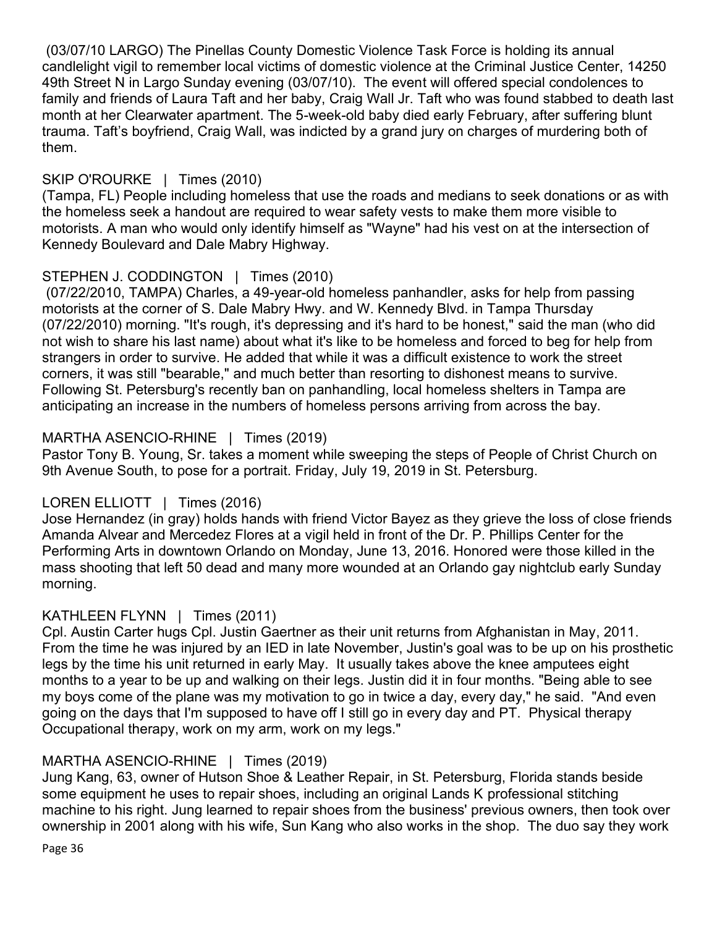(03/07/10 LARGO) The Pinellas County Domestic Violence Task Force is holding its annual candlelight vigil to remember local victims of domestic violence at the Criminal Justice Center, 14250 49th Street N in Largo Sunday evening (03/07/10). The event will offered special condolences to family and friends of Laura Taft and her baby, Craig Wall Jr. Taft who was found stabbed to death last month at her Clearwater apartment. The 5-week-old baby died early February, after suffering blunt trauma. Taft's boyfriend, Craig Wall, was indicted by a grand jury on charges of murdering both of them.

#### SKIP O'ROURKE | Times (2010)

(Tampa, FL) People including homeless that use the roads and medians to seek donations or as with the homeless seek a handout are required to wear safety vests to make them more visible to motorists. A man who would only identify himself as "Wayne" had his vest on at the intersection of Kennedy Boulevard and Dale Mabry Highway.

#### STEPHEN J. CODDINGTON | Times (2010)

(07/22/2010, TAMPA) Charles, a 49-year-old homeless panhandler, asks for help from passing motorists at the corner of S. Dale Mabry Hwy. and W. Kennedy Blvd. in Tampa Thursday (07/22/2010) morning. "It's rough, it's depressing and it's hard to be honest," said the man (who did not wish to share his last name) about what it's like to be homeless and forced to beg for help from strangers in order to survive. He added that while it was a difficult existence to work the street corners, it was still "bearable," and much better than resorting to dishonest means to survive. Following St. Petersburg's recently ban on panhandling, local homeless shelters in Tampa are anticipating an increase in the numbers of homeless persons arriving from across the bay.

#### MARTHA ASENCIO-RHINE | Times (2019)

Pastor Tony B. Young, Sr. takes a moment while sweeping the steps of People of Christ Church on 9th Avenue South, to pose for a portrait. Friday, July 19, 2019 in St. Petersburg.

#### LOREN ELLIOTT | Times (2016)

Jose Hernandez (in gray) holds hands with friend Victor Bayez as they grieve the loss of close friends Amanda Alvear and Mercedez Flores at a vigil held in front of the Dr. P. Phillips Center for the Performing Arts in downtown Orlando on Monday, June 13, 2016. Honored were those killed in the mass shooting that left 50 dead and many more wounded at an Orlando gay nightclub early Sunday morning.

#### KATHLEEN FLYNN | Times (2011)

Cpl. Austin Carter hugs Cpl. Justin Gaertner as their unit returns from Afghanistan in May, 2011. From the time he was injured by an IED in late November, Justin's goal was to be up on his prosthetic legs by the time his unit returned in early May. It usually takes above the knee amputees eight months to a year to be up and walking on their legs. Justin did it in four months. "Being able to see my boys come of the plane was my motivation to go in twice a day, every day," he said. "And even going on the days that I'm supposed to have off I still go in every day and PT. Physical therapy Occupational therapy, work on my arm, work on my legs."

#### MARTHA ASENCIO-RHINE | Times (2019)

Jung Kang, 63, owner of Hutson Shoe & Leather Repair, in St. Petersburg, Florida stands beside some equipment he uses to repair shoes, including an original Lands K professional stitching machine to his right. Jung learned to repair shoes from the business' previous owners, then took over ownership in 2001 along with his wife, Sun Kang who also works in the shop. The duo say they work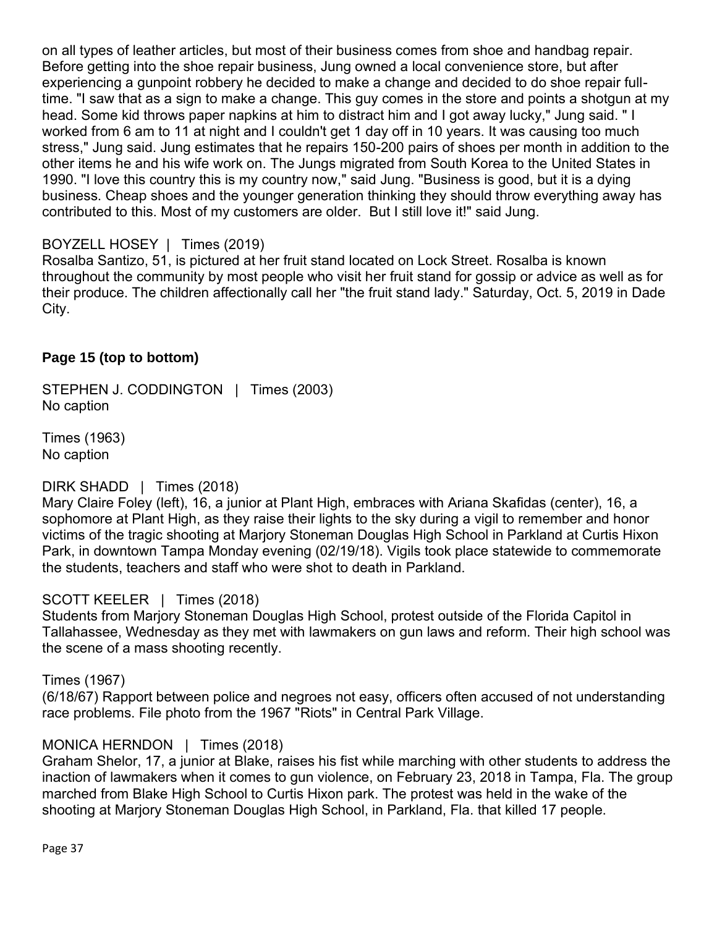on all types of leather articles, but most of their business comes from shoe and handbag repair. Before getting into the shoe repair business, Jung owned a local convenience store, but after experiencing a gunpoint robbery he decided to make a change and decided to do shoe repair fulltime. "I saw that as a sign to make a change. This guy comes in the store and points a shotgun at my head. Some kid throws paper napkins at him to distract him and I got away lucky," Jung said. " I worked from 6 am to 11 at night and I couldn't get 1 day off in 10 years. It was causing too much stress," Jung said. Jung estimates that he repairs 150-200 pairs of shoes per month in addition to the other items he and his wife work on. The Jungs migrated from South Korea to the United States in 1990. "I love this country this is my country now," said Jung. "Business is good, but it is a dying business. Cheap shoes and the younger generation thinking they should throw everything away has contributed to this. Most of my customers are older. But I still love it!" said Jung.

#### BOYZELL HOSEY | Times (2019)

Rosalba Santizo, 51, is pictured at her fruit stand located on Lock Street. Rosalba is known throughout the community by most people who visit her fruit stand for gossip or advice as well as for their produce. The children affectionally call her "the fruit stand lady." Saturday, Oct. 5, 2019 in Dade City.

#### **Page 15 (top to bottom)**

STEPHEN J. CODDINGTON | Times (2003) No caption

Times (1963) No caption

#### DIRK SHADD | Times (2018)

Mary Claire Foley (left), 16, a junior at Plant High, embraces with Ariana Skafidas (center), 16, a sophomore at Plant High, as they raise their lights to the sky during a vigil to remember and honor victims of the tragic shooting at Marjory Stoneman Douglas High School in Parkland at Curtis Hixon Park, in downtown Tampa Monday evening (02/19/18). Vigils took place statewide to commemorate the students, teachers and staff who were shot to death in Parkland.

#### SCOTT KEELER | Times (2018)

Students from Marjory Stoneman Douglas High School, protest outside of the Florida Capitol in Tallahassee, Wednesday as they met with lawmakers on gun laws and reform. Their high school was the scene of a mass shooting recently.

#### Times (1967)

(6/18/67) Rapport between police and negroes not easy, officers often accused of not understanding race problems. File photo from the 1967 "Riots" in Central Park Village.

#### MONICA HERNDON | Times (2018)

Graham Shelor, 17, a junior at Blake, raises his fist while marching with other students to address the inaction of lawmakers when it comes to gun violence, on February 23, 2018 in Tampa, Fla. The group marched from Blake High School to Curtis Hixon park. The protest was held in the wake of the shooting at Marjory Stoneman Douglas High School, in Parkland, Fla. that killed 17 people.